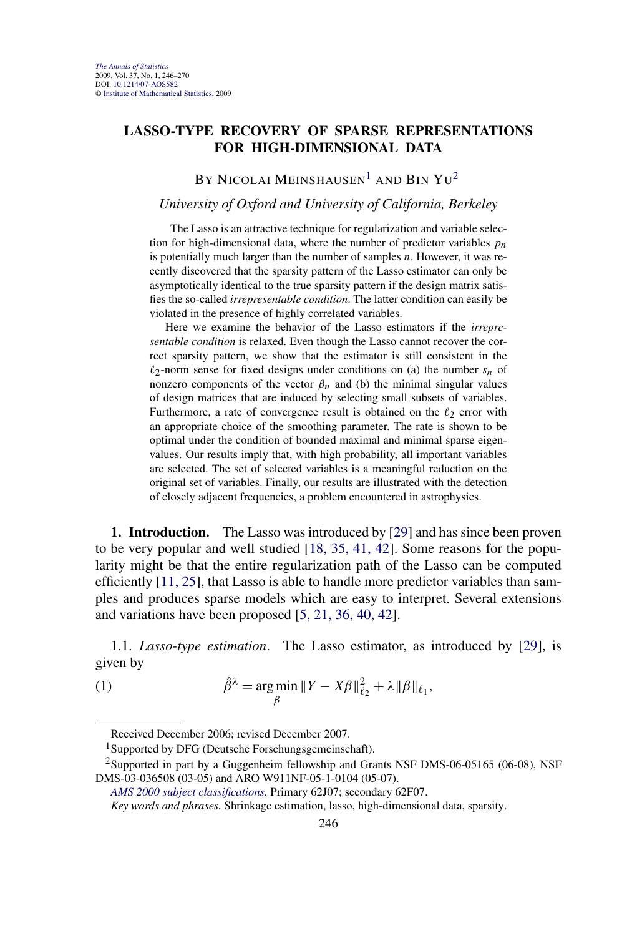## **LASSO-TYPE RECOVERY OF SPARSE REPRESENTATIONS FOR HIGH-DIMENSIONAL DATA**

BY NICOLAI MEINSHAUSEN<sup>1</sup> AND BIN  $Yu^2$ 

## *University of Oxford and University of California, Berkeley*

The Lasso is an attractive technique for regularization and variable selection for high-dimensional data, where the number of predictor variables *pn* is potentially much larger than the number of samples *n*. However, it was recently discovered that the sparsity pattern of the Lasso estimator can only be asymptotically identical to the true sparsity pattern if the design matrix satisfies the so-called *irrepresentable condition*. The latter condition can easily be violated in the presence of highly correlated variables.

Here we examine the behavior of the Lasso estimators if the *irrepresentable condition* is relaxed. Even though the Lasso cannot recover the correct sparsity pattern, we show that the estimator is still consistent in the  $\ell_2$ -norm sense for fixed designs under conditions on (a) the number  $s_n$  of nonzero components of the vector  $\beta_n$  and (b) the minimal singular values of design matrices that are induced by selecting small subsets of variables. Furthermore, a rate of convergence result is obtained on the  $\ell_2$  error with an appropriate choice of the smoothing parameter. The rate is shown to be optimal under the condition of bounded maximal and minimal sparse eigenvalues. Our results imply that, with high probability, all important variables are selected. The set of selected variables is a meaningful reduction on the original set of variables. Finally, our results are illustrated with the detection of closely adjacent frequencies, a problem encountered in astrophysics.

**1. Introduction.** The Lasso was introduced by [\[29\]](#page-24-0) and has since been proven to be very popular and well studied [\[18, 35, 41, 42\]](#page-23-0). Some reasons for the popularity might be that the entire regularization path of the Lasso can be computed efficiently [\[11, 25\]](#page-23-0), that Lasso is able to handle more predictor variables than samples and produces sparse models which are easy to interpret. Several extensions and variations have been proposed [\[5, 21, 36, 40, 42\]](#page-23-0).

1.1. *Lasso-type estimation*. The Lasso estimator, as introduced by [\[29\]](#page-24-0), is given by

(1) 
$$
\hat{\beta}^{\lambda} = \underset{\beta}{\arg\min} \|Y - X\beta\|_{\ell_2}^2 + \lambda \|\beta\|_{\ell_1},
$$

Received December 2006; revised December 2007.

<sup>&</sup>lt;sup>1</sup>Supported by DFG (Deutsche Forschungsgemeinschaft).

<sup>&</sup>lt;sup>2</sup>Supported in part by a Guggenheim fellowship and Grants NSF DMS-06-05165 (06-08), NSF DMS-03-036508 (03-05) and ARO W911NF-05-1-0104 (05-07).

*[AMS 2000 subject classifications.](http://www.ams.org/msc/)* Primary 62J07; secondary 62F07.

*Key words and phrases.* Shrinkage estimation, lasso, high-dimensional data, sparsity.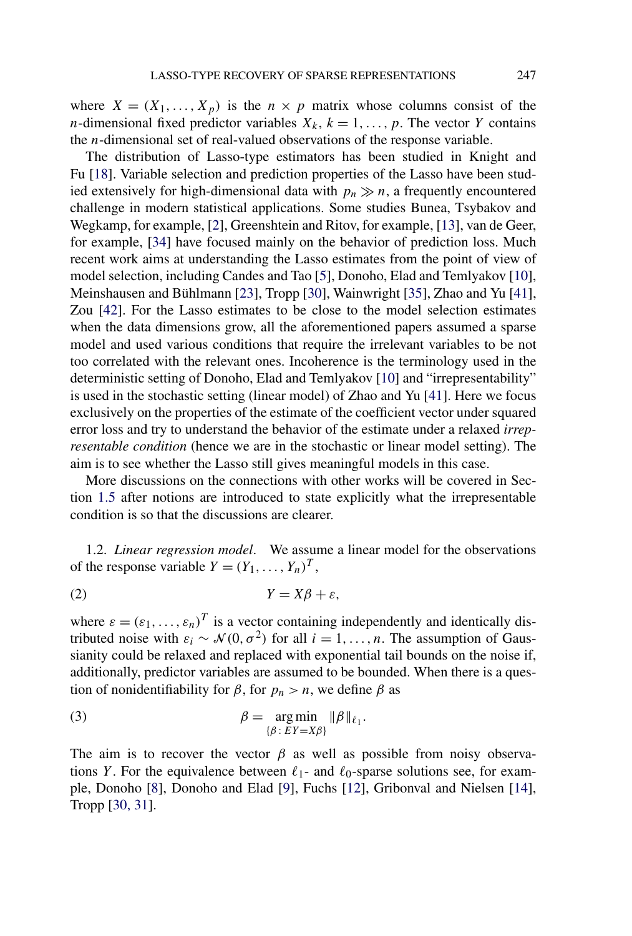where  $X = (X_1, \ldots, X_p)$  is the  $n \times p$  matrix whose columns consist of the *n*-dimensional fixed predictor variables  $X_k$ ,  $k = 1, \ldots, p$ . The vector *Y* contains the *n*-dimensional set of real-valued observations of the response variable.

The distribution of Lasso-type estimators has been studied in Knight and Fu [\[18\]](#page-23-0). Variable selection and prediction properties of the Lasso have been studied extensively for high-dimensional data with  $p_n \gg n$ , a frequently encountered challenge in modern statistical applications. Some studies Bunea, Tsybakov and Wegkamp, for example, [\[2\]](#page-23-0), Greenshtein and Ritov, for example, [\[13\]](#page-23-0), van de Geer, for example, [\[34\]](#page-24-0) have focused mainly on the behavior of prediction loss. Much recent work aims at understanding the Lasso estimates from the point of view of model selection, including Candes and Tao [\[5\]](#page-23-0), Donoho, Elad and Temlyakov [\[10\]](#page-23-0), Meinshausen and Bühlmann [\[23\]](#page-23-0), Tropp [\[30\]](#page-24-0), Wainwright [\[35\]](#page-24-0), Zhao and Yu [\[41\]](#page-24-0), Zou [\[42\]](#page-24-0). For the Lasso estimates to be close to the model selection estimates when the data dimensions grow, all the aforementioned papers assumed a sparse model and used various conditions that require the irrelevant variables to be not too correlated with the relevant ones. Incoherence is the terminology used in the deterministic setting of Donoho, Elad and Temlyakov [\[10\]](#page-23-0) and "irrepresentability" is used in the stochastic setting (linear model) of Zhao and Yu [\[41\]](#page-24-0). Here we focus exclusively on the properties of the estimate of the coefficient vector under squared error loss and try to understand the behavior of the estimate under a relaxed *irrepresentable condition* (hence we are in the stochastic or linear model setting). The aim is to see whether the Lasso still gives meaningful models in this case.

More discussions on the connections with other works will be covered in Section [1.5](#page-3-0) after notions are introduced to state explicitly what the irrepresentable condition is so that the discussions are clearer.

1.2. *Linear regression model*. We assume a linear model for the observations of the response variable  $Y = (Y_1, \ldots, Y_n)^T$ ,

$$
(2) \t Y = X\beta + \varepsilon,
$$

where  $\varepsilon = (\varepsilon_1, \ldots, \varepsilon_n)^T$  is a vector containing independently and identically distributed noise with  $\varepsilon_i \sim \mathcal{N}(0, \sigma^2)$  for all  $i = 1, \ldots, n$ . The assumption of Gaussianity could be relaxed and replaced with exponential tail bounds on the noise if, additionally, predictor variables are assumed to be bounded. When there is a question of nonidentifiability for  $\beta$ , for  $p_n > n$ , we define  $\beta$  as

(3) 
$$
\beta = \underset{\{\beta \colon EY = X\beta\}}{\arg \min} \|\beta\|_{\ell_1}.
$$

The aim is to recover the vector  $\beta$  as well as possible from noisy observations *Y*. For the equivalence between  $\ell_1$ - and  $\ell_0$ -sparse solutions see, for example, Donoho [\[8\]](#page-23-0), Donoho and Elad [\[9\]](#page-23-0), Fuchs [\[12\]](#page-23-0), Gribonval and Nielsen [\[14\]](#page-23-0), Tropp [\[30, 31\]](#page-24-0).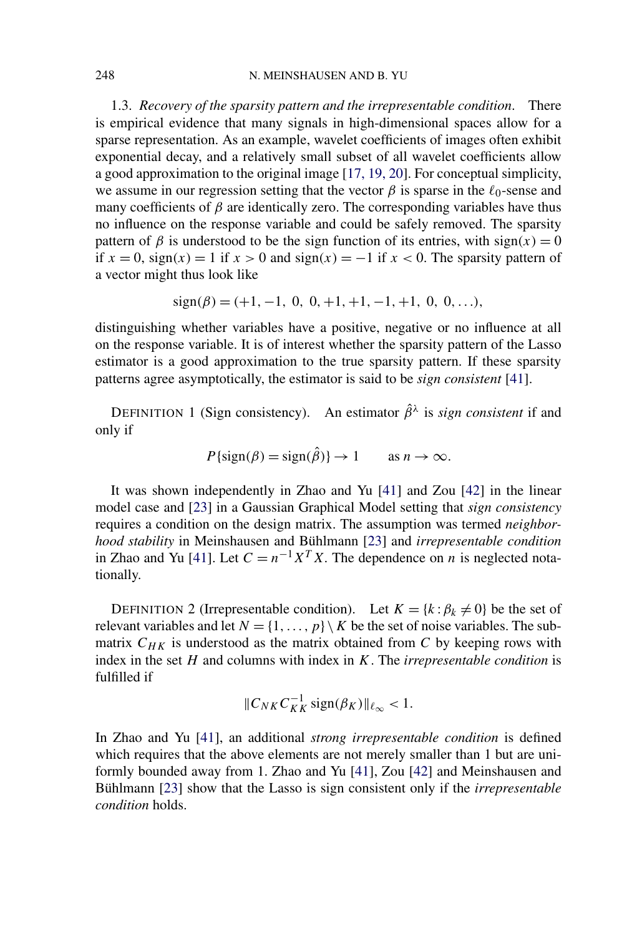1.3. *Recovery of the sparsity pattern and the irrepresentable condition*. There is empirical evidence that many signals in high-dimensional spaces allow for a sparse representation. As an example, wavelet coefficients of images often exhibit exponential decay, and a relatively small subset of all wavelet coefficients allow a good approximation to the original image [\[17, 19, 20\]](#page-23-0). For conceptual simplicity, we assume in our regression setting that the vector  $\beta$  is sparse in the  $\ell_0$ -sense and many coefficients of  $\beta$  are identically zero. The corresponding variables have thus no influence on the response variable and could be safely removed. The sparsity pattern of  $\beta$  is understood to be the sign function of its entries, with sign(x) = 0 if *x* = 0, sign*(x)* = 1 if *x >* 0 and sign*(x)* = −1 if *x <* 0. The sparsity pattern of a vector might thus look like

$$
sign(\beta) = (+1, -1, 0, 0, +1, +1, -1, +1, 0, 0, \ldots),
$$

distinguishing whether variables have a positive, negative or no influence at all on the response variable. It is of interest whether the sparsity pattern of the Lasso estimator is a good approximation to the true sparsity pattern. If these sparsity patterns agree asymptotically, the estimator is said to be *sign consistent* [\[41\]](#page-24-0).

DEFINITION 1 (Sign consistency). An estimator  $\hat{\beta}^{\lambda}$  is *sign consistent* if and only if

$$
P\{\text{sign}(\beta) = \text{sign}(\hat{\beta})\} \to 1 \quad \text{as } n \to \infty.
$$

It was shown independently in Zhao and Yu [\[41\]](#page-24-0) and Zou [\[42\]](#page-24-0) in the linear model case and [\[23\]](#page-23-0) in a Gaussian Graphical Model setting that *sign consistency* requires a condition on the design matrix. The assumption was termed *neighborhood stability* in Meinshausen and Bühlmann [\[23\]](#page-23-0) and *irrepresentable condition* in Zhao and Yu [\[41\]](#page-24-0). Let  $C = n^{-1}X^TX$ . The dependence on *n* is neglected notationally.

DEFINITION 2 (Irrepresentable condition). Let  $K = \{k : \beta_k \neq 0\}$  be the set of relevant variables and let  $N = \{1, \ldots, p\} \setminus K$  be the set of noise variables. The submatrix  $C_{HK}$  is understood as the matrix obtained from  $C$  by keeping rows with index in the set *H* and columns with index in *K*. The *irrepresentable condition* is fulfilled if

$$
||C_{NK}C_{KK}^{-1}\operatorname{sign}(\beta_K)||_{\ell_{\infty}} < 1.
$$

In Zhao and Yu [\[41\]](#page-24-0), an additional *strong irrepresentable condition* is defined which requires that the above elements are not merely smaller than 1 but are uniformly bounded away from 1. Zhao and Yu [\[41\]](#page-24-0), Zou [\[42\]](#page-24-0) and Meinshausen and Bühlmann [\[23\]](#page-23-0) show that the Lasso is sign consistent only if the *irrepresentable condition* holds.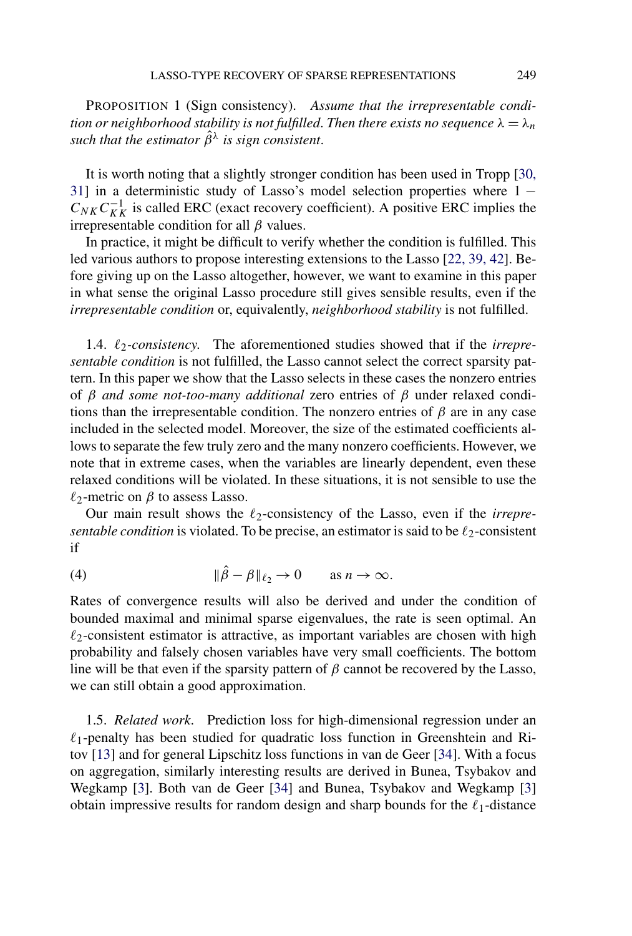<span id="page-3-0"></span>PROPOSITION 1 (Sign consistency). *Assume that the irrepresentable condition or neighborhood stability is not fulfilled. Then there exists no sequence*  $\lambda = \lambda_n$ *such that the estimator*  $\hat{\beta}^{\lambda}$  *is sign consistent.* 

It is worth noting that a slightly stronger condition has been used in Tropp [\[30,](#page-24-0) [31\]](#page-24-0) in a deterministic study of Lasso's model selection properties where 1 −  $C_{NK}C_{KK}^{-1}$  is called ERC (exact recovery coefficient). A positive ERC implies the irrepresentable condition for all *β* values.

In practice, it might be difficult to verify whether the condition is fulfilled. This led various authors to propose interesting extensions to the Lasso [\[22, 39, 42\]](#page-23-0). Before giving up on the Lasso altogether, however, we want to examine in this paper in what sense the original Lasso procedure still gives sensible results, even if the *irrepresentable condition* or, equivalently, *neighborhood stability* is not fulfilled.

1.4.  $\ell_2$ -consistency. The aforementioned studies showed that if the *irrepresentable condition* is not fulfilled, the Lasso cannot select the correct sparsity pattern. In this paper we show that the Lasso selects in these cases the nonzero entries of *β and some not-too-many additional* zero entries of *β* under relaxed conditions than the irrepresentable condition. The nonzero entries of  $\beta$  are in any case included in the selected model. Moreover, the size of the estimated coefficients allows to separate the few truly zero and the many nonzero coefficients. However, we note that in extreme cases, when the variables are linearly dependent, even these relaxed conditions will be violated. In these situations, it is not sensible to use the *-*2-metric on *β* to assess Lasso.

Our main result shows the  $\ell_2$ -consistency of the Lasso, even if the *irrepresentable condition* is violated. To be precise, an estimator is said to be  $\ell_2$ -consistent if

(4) 
$$
\|\hat{\beta} - \beta\|_{\ell_2} \to 0 \quad \text{as } n \to \infty.
$$

Rates of convergence results will also be derived and under the condition of bounded maximal and minimal sparse eigenvalues, the rate is seen optimal. An  $\ell_2$ -consistent estimator is attractive, as important variables are chosen with high probability and falsely chosen variables have very small coefficients. The bottom line will be that even if the sparsity pattern of  $\beta$  cannot be recovered by the Lasso, we can still obtain a good approximation.

1.5. *Related work*. Prediction loss for high-dimensional regression under an *-*1-penalty has been studied for quadratic loss function in Greenshtein and Ritov [\[13\]](#page-23-0) and for general Lipschitz loss functions in van de Geer [\[34\]](#page-24-0). With a focus on aggregation, similarly interesting results are derived in Bunea, Tsybakov and Wegkamp [\[3\]](#page-23-0). Both van de Geer [\[34\]](#page-24-0) and Bunea, Tsybakov and Wegkamp [\[3\]](#page-23-0) obtain impressive results for random design and sharp bounds for the  $\ell_1$ -distance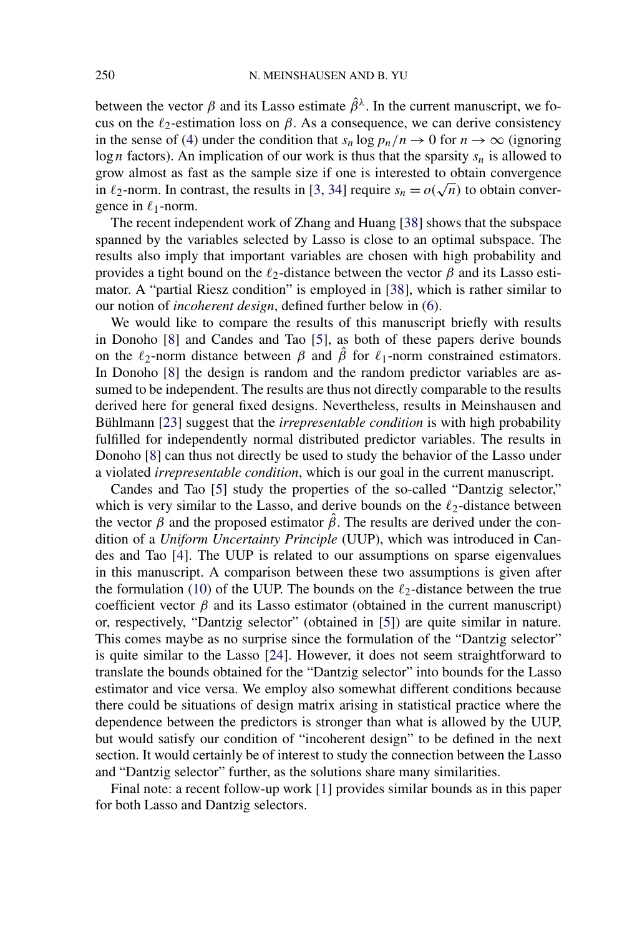between the vector  $\beta$  and its Lasso estimate  $\hat{\beta}^{\lambda}$ . In the current manuscript, we focus on the  $\ell_2$ -estimation loss on  $\beta$ . As a consequence, we can derive consistency in the sense of [\(4\)](#page-3-0) under the condition that  $s_n \log p_n/n \to 0$  for  $n \to \infty$  (ignoring log *n* factors). An implication of our work is thus that the sparsity  $s_n$  is allowed to grow almost as fast as the sample size if one is interested to obtain convergence grow almost as last as the sample size if one is interested to obtain convergence<br>in  $\ell_2$ -norm. In contrast, the results in [\[3, 34\]](#page-23-0) require  $s_n = o(\sqrt{n})$  to obtain convergence in  $\ell_1$ -norm.

The recent independent work of Zhang and Huang [\[38\]](#page-24-0) shows that the subspace spanned by the variables selected by Lasso is close to an optimal subspace. The results also imply that important variables are chosen with high probability and provides a tight bound on the  $\ell_2$ -distance between the vector  $\beta$  and its Lasso estimator. A "partial Riesz condition" is employed in [\[38\]](#page-24-0), which is rather similar to our notion of *incoherent design*, defined further below in [\(6\)](#page-6-0).

We would like to compare the results of this manuscript briefly with results in Donoho [\[8\]](#page-23-0) and Candes and Tao [\[5\]](#page-23-0), as both of these papers derive bounds on the  $\ell_2$ -norm distance between  $\beta$  and  $\hat{\beta}$  for  $\ell_1$ -norm constrained estimators. In Donoho [\[8\]](#page-23-0) the design is random and the random predictor variables are assumed to be independent. The results are thus not directly comparable to the results derived here for general fixed designs. Nevertheless, results in Meinshausen and Bühlmann [\[23\]](#page-23-0) suggest that the *irrepresentable condition* is with high probability fulfilled for independently normal distributed predictor variables. The results in Donoho [\[8\]](#page-23-0) can thus not directly be used to study the behavior of the Lasso under a violated *irrepresentable condition*, which is our goal in the current manuscript.

Candes and Tao [\[5\]](#page-23-0) study the properties of the so-called "Dantzig selector," which is very similar to the Lasso, and derive bounds on the  $\ell_2$ -distance between the vector  $\beta$  and the proposed estimator  $\hat{\beta}$ . The results are derived under the condition of a *Uniform Uncertainty Principle* (UUP), which was introduced in Candes and Tao [\[4\]](#page-23-0). The UUP is related to our assumptions on sparse eigenvalues in this manuscript. A comparison between these two assumptions is given after the formulation [\(10\)](#page-7-0) of the UUP. The bounds on the  $\ell_2$ -distance between the true coefficient vector  $\beta$  and its Lasso estimator (obtained in the current manuscript) or, respectively, "Dantzig selector" (obtained in [\[5\]](#page-23-0)) are quite similar in nature. This comes maybe as no surprise since the formulation of the "Dantzig selector" is quite similar to the Lasso [\[24\]](#page-23-0). However, it does not seem straightforward to translate the bounds obtained for the "Dantzig selector" into bounds for the Lasso estimator and vice versa. We employ also somewhat different conditions because there could be situations of design matrix arising in statistical practice where the dependence between the predictors is stronger than what is allowed by the UUP, but would satisfy our condition of "incoherent design" to be defined in the next section. It would certainly be of interest to study the connection between the Lasso and "Dantzig selector" further, as the solutions share many similarities.

Final note: a recent follow-up work [\[1\]](#page-22-0) provides similar bounds as in this paper for both Lasso and Dantzig selectors.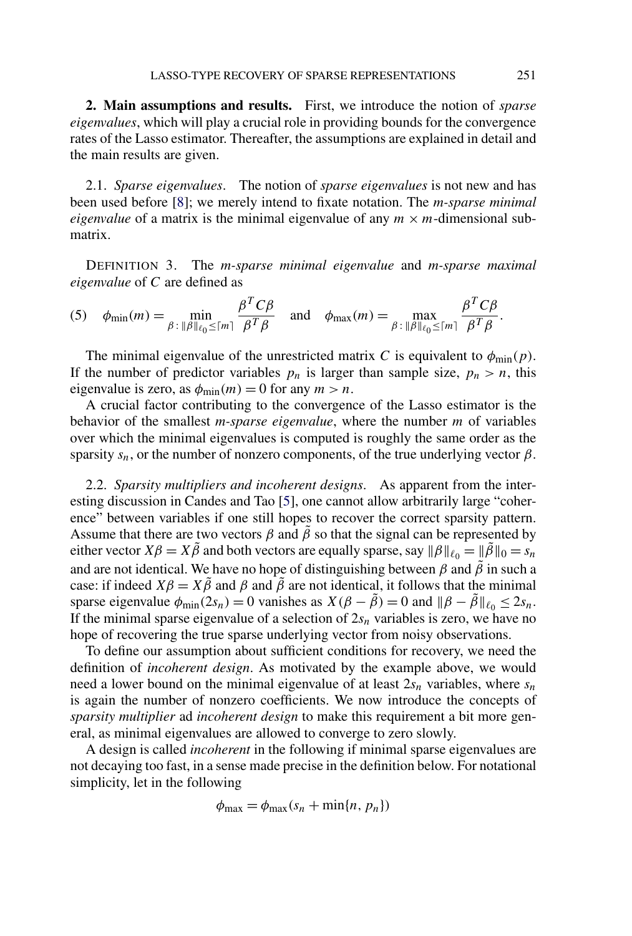**2. Main assumptions and results.** First, we introduce the notion of *sparse eigenvalues*, which will play a crucial role in providing bounds for the convergence rates of the Lasso estimator. Thereafter, the assumptions are explained in detail and the main results are given.

2.1. *Sparse eigenvalues*. The notion of *sparse eigenvalues* is not new and has been used before [\[8\]](#page-23-0); we merely intend to fixate notation. The *m-sparse minimal eigenvalue* of a matrix is the minimal eigenvalue of any  $m \times m$ -dimensional submatrix.

DEFINITION 3. The *m-sparse minimal eigenvalue* and *m-sparse maximal eigenvalue* of *C* are defined as

(5) 
$$
\phi_{\min}(m) = \min_{\beta : \|\beta\|_{\ell_0} \leq \lceil m \rceil} \frac{\beta^T C \beta}{\beta^T \beta}
$$
 and  $\phi_{\max}(m) = \max_{\beta : \|\beta\|_{\ell_0} \leq \lceil m \rceil} \frac{\beta^T C \beta}{\beta^T \beta}$ .

The minimal eigenvalue of the unrestricted matrix *C* is equivalent to  $\phi_{\text{min}}(p)$ . If the number of predictor variables  $p_n$  is larger than sample size,  $p_n > n$ , this eigenvalue is zero, as  $\phi_{\text{min}}(m) = 0$  for any  $m > n$ .

A crucial factor contributing to the convergence of the Lasso estimator is the behavior of the smallest *m-sparse eigenvalue*, where the number *m* of variables over which the minimal eigenvalues is computed is roughly the same order as the sparsity  $s_n$ , or the number of nonzero components, of the true underlying vector  $\beta$ .

2.2. *Sparsity multipliers and incoherent designs*. As apparent from the interesting discussion in Candes and Tao [\[5\]](#page-23-0), one cannot allow arbitrarily large "coherence" between variables if one still hopes to recover the correct sparsity pattern. Assume that there are two vectors  $\beta$  and  $\tilde{\beta}$  so that the signal can be represented by either vector  $X\beta = X\tilde{\beta}$  and both vectors are equally sparse, say  $\|\beta\|_{\ell_0} = \|\tilde{\beta}\|_0 = s_n$ and are not identical. We have no hope of distinguishing between  $\beta$  and  $\tilde{\beta}$  in such a case: if indeed  $X\beta = X\tilde{\beta}$  and  $\beta$  and  $\tilde{\beta}$  are not identical, it follows that the minimal sparse eigenvalue  $\phi_{\text{min}}(2s_n) = 0$  vanishes as  $X(\beta - \tilde{\beta}) = 0$  and  $\|\beta - \tilde{\beta}\|_{\ell_0} \le 2s_n$ . If the minimal sparse eigenvalue of a selection of  $2s_n$  variables is zero, we have no hope of recovering the true sparse underlying vector from noisy observations.

To define our assumption about sufficient conditions for recovery, we need the definition of *incoherent design*. As motivated by the example above, we would need a lower bound on the minimal eigenvalue of at least  $2s_n$  variables, where  $s_n$ is again the number of nonzero coefficients. We now introduce the concepts of *sparsity multiplier* ad *incoherent design* to make this requirement a bit more general, as minimal eigenvalues are allowed to converge to zero slowly.

A design is called *incoherent* in the following if minimal sparse eigenvalues are not decaying too fast, in a sense made precise in the definition below. For notational simplicity, let in the following

$$
\phi_{\max} = \phi_{\max}(s_n + \min\{n, p_n\})
$$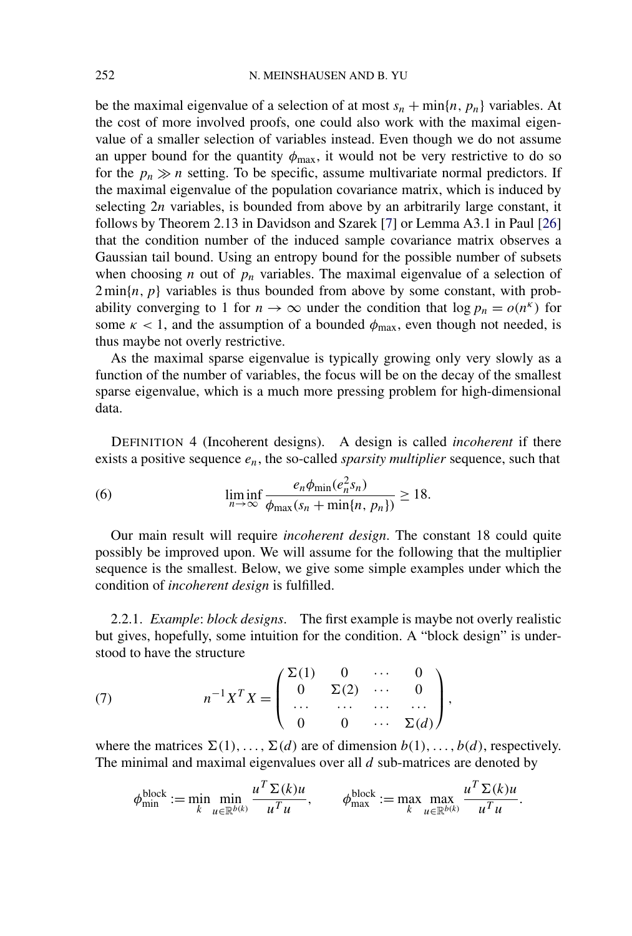<span id="page-6-0"></span>be the maximal eigenvalue of a selection of at most  $s_n + \min\{n, p_n\}$  variables. At the cost of more involved proofs, one could also work with the maximal eigenvalue of a smaller selection of variables instead. Even though we do not assume an upper bound for the quantity  $\phi_{\text{max}}$ , it would not be very restrictive to do so for the  $p_n \gg n$  setting. To be specific, assume multivariate normal predictors. If the maximal eigenvalue of the population covariance matrix, which is induced by selecting 2*n* variables, is bounded from above by an arbitrarily large constant, it follows by Theorem 2.13 in Davidson and Szarek [\[7\]](#page-23-0) or Lemma A3.1 in Paul [\[26\]](#page-24-0) that the condition number of the induced sample covariance matrix observes a Gaussian tail bound. Using an entropy bound for the possible number of subsets when choosing *n* out of  $p_n$  variables. The maximal eigenvalue of a selection of  $2 \min\{n, p\}$  variables is thus bounded from above by some constant, with probability converging to 1 for  $n \to \infty$  under the condition that  $\log p_n = o(n^k)$  for some  $\kappa$  < 1, and the assumption of a bounded  $\phi_{\text{max}}$ , even though not needed, is thus maybe not overly restrictive.

As the maximal sparse eigenvalue is typically growing only very slowly as a function of the number of variables, the focus will be on the decay of the smallest sparse eigenvalue, which is a much more pressing problem for high-dimensional data.

DEFINITION 4 (Incoherent designs). A design is called *incoherent* if there exists a positive sequence *en*, the so-called *sparsity multiplier* sequence, such that

(6) 
$$
\liminf_{n \to \infty} \frac{e_n \phi_{\min}(e_n^2 s_n)}{\phi_{\max}(s_n + \min\{n, p_n\})} \ge 18.
$$

Our main result will require *incoherent design*. The constant 18 could quite possibly be improved upon. We will assume for the following that the multiplier sequence is the smallest. Below, we give some simple examples under which the condition of *incoherent design* is fulfilled.

2.2.1. *Example*: *block designs*. The first example is maybe not overly realistic but gives, hopefully, some intuition for the condition. A "block design" is understood to have the structure

(7) 
$$
n^{-1}X^{T}X = \begin{pmatrix} \Sigma(1) & 0 & \cdots & 0 \\ 0 & \Sigma(2) & \cdots & 0 \\ \cdots & \cdots & \cdots & \cdots \\ 0 & 0 & \cdots & \Sigma(d) \end{pmatrix},
$$

where the matrices  $\Sigma(1), \ldots, \Sigma(d)$  are of dimension  $b(1), \ldots, b(d)$ , respectively. The minimal and maximal eigenvalues over all *d* sub-matrices are denoted by

$$
\phi_{\min}^{\text{block}} := \min_k \min_{u \in \mathbb{R}^{b(k)}} \frac{u^T \Sigma(k) u}{u^T u}, \qquad \phi_{\max}^{\text{block}} := \max_k \max_{u \in \mathbb{R}^{b(k)}} \frac{u^T \Sigma(k) u}{u^T u}.
$$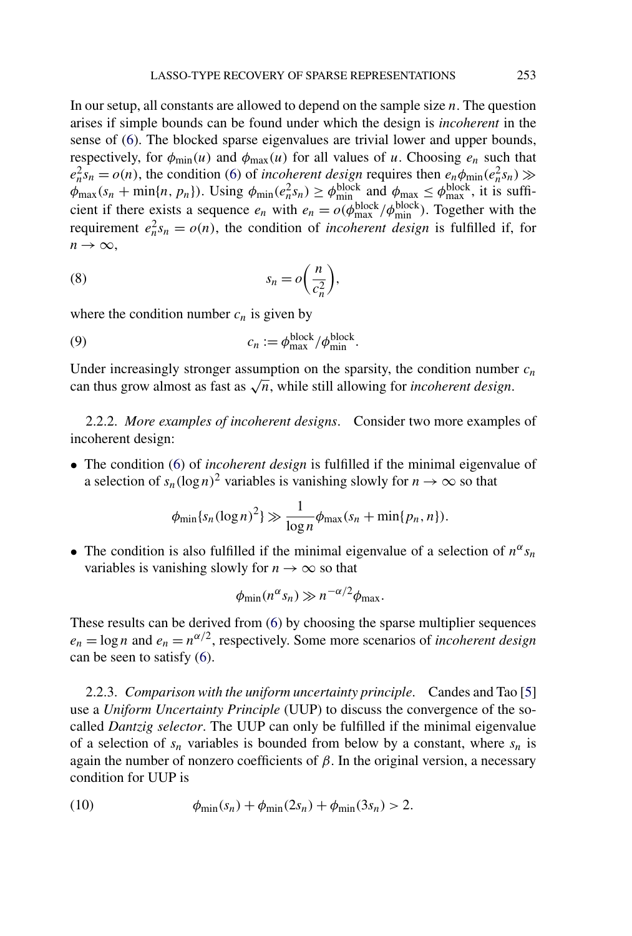<span id="page-7-0"></span>In our setup, all constants are allowed to depend on the sample size *n*. The question arises if simple bounds can be found under which the design is *incoherent* in the sense of [\(6\)](#page-6-0). The blocked sparse eigenvalues are trivial lower and upper bounds, respectively, for  $\phi_{\text{min}}(u)$  and  $\phi_{\text{max}}(u)$  for all values of *u*. Choosing  $e_n$  such that  $e_n^2 s_n = o(n)$ , the condition [\(6\)](#page-6-0) of *incoherent design* requires then  $e_n \phi_{\text{min}}(e_n^2 s_n) \gg$  $\phi_{\text{max}}(s_n + \min\{n, p_n\})$ . Using  $\phi_{\text{min}}(e_n^2 s_n) \ge \phi_{\text{min}}^{\text{block}}$  and  $\phi_{\text{max}} \le \phi_{\text{max}}^{\text{block}}$ , it is sufficient if there exists a sequence  $e_n$  with  $e_n = o(\phi_{\text{max}}^{\text{block}}/\phi_{\text{min}}^{\text{block}})$ . Together with the requirement  $e_n^2 s_n = o(n)$ , the condition of *incoherent design* is fulfilled if, for  $n \rightarrow \infty$ ,

(8) 
$$
s_n = o\left(\frac{n}{c_n^2}\right),
$$

where the condition number  $c_n$  is given by

(9) 
$$
c_n := \phi_{\text{max}}^{\text{block}} / \phi_{\text{min}}^{\text{block}}.
$$

Under increasingly stronger assumption on the sparsity, the condition number  $c_n$ can thus grow almost as fast as  $\sqrt{n}$ , while still allowing for *incoherent design*.

2.2.2. *More examples of incoherent designs*. Consider two more examples of incoherent design:

• The condition [\(6\)](#page-6-0) of *incoherent design* is fulfilled if the minimal eigenvalue of a selection of  $s_n(\log n)^2$  variables is vanishing slowly for  $n \to \infty$  so that

$$
\phi_{\min}\{s_n(\log n)^2\}\gg \frac{1}{\log n}\phi_{\max}(s_n+\min\{p_n,n\}).
$$

• The condition is also fulfilled if the minimal eigenvalue of a selection of  $n^{\alpha}s_n$ variables is vanishing slowly for  $n \to \infty$  so that

$$
\phi_{\min}(n^{\alpha} s_n) \gg n^{-\alpha/2} \phi_{\max}.
$$

These results can be derived from [\(6\)](#page-6-0) by choosing the sparse multiplier sequences  $e_n = \log n$  and  $e_n = n^{\alpha/2}$ , respectively. Some more scenarios of *incoherent design* can be seen to satisfy [\(6\)](#page-6-0).

2.2.3. *Comparison with the uniform uncertainty principle*. Candes and Tao [\[5\]](#page-23-0) use a *Uniform Uncertainty Principle* (UUP) to discuss the convergence of the socalled *Dantzig selector*. The UUP can only be fulfilled if the minimal eigenvalue of a selection of  $s_n$  variables is bounded from below by a constant, where  $s_n$  is again the number of nonzero coefficients of *β*. In the original version, a necessary condition for UUP is

(10) 
$$
\phi_{\min}(s_n) + \phi_{\min}(2s_n) + \phi_{\min}(3s_n) > 2.
$$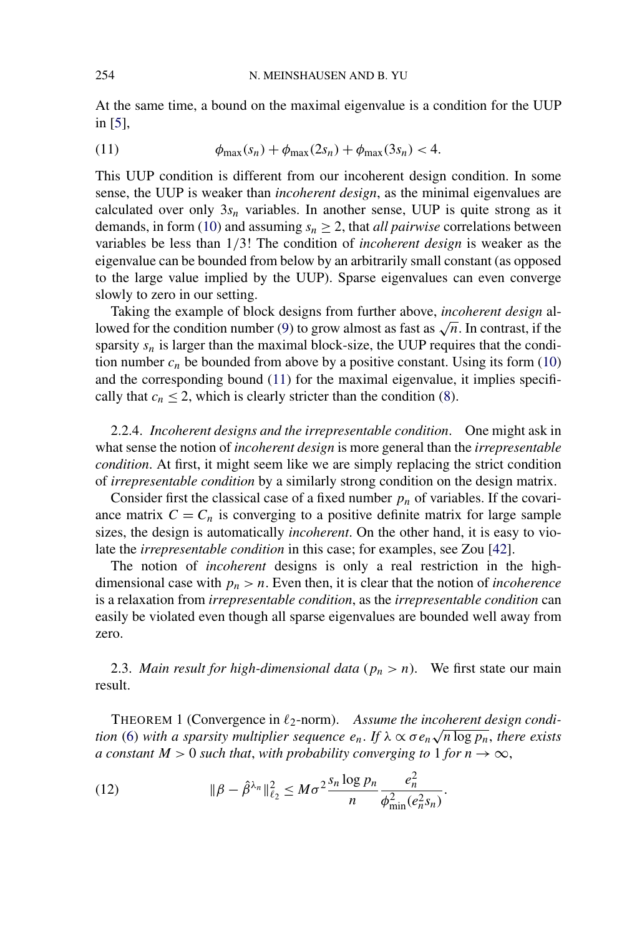<span id="page-8-0"></span>At the same time, a bound on the maximal eigenvalue is a condition for the UUP in [\[5\]](#page-23-0),

(11) 
$$
\phi_{\max}(s_n) + \phi_{\max}(2s_n) + \phi_{\max}(3s_n) < 4.
$$

This UUP condition is different from our incoherent design condition. In some sense, the UUP is weaker than *incoherent design*, as the minimal eigenvalues are calculated over only  $3s_n$  variables. In another sense, UUP is quite strong as it demands, in form [\(10\)](#page-7-0) and assuming  $s_n \geq 2$ , that *all pairwise* correlations between variables be less than 1*/*3! The condition of *incoherent design* is weaker as the eigenvalue can be bounded from below by an arbitrarily small constant (as opposed to the large value implied by the UUP). Sparse eigenvalues can even converge slowly to zero in our setting.

Taking the example of block designs from further above, *incoherent design* al-lowed for the condition number [\(9\)](#page-7-0) to grow almost as fast as  $\sqrt{n}$ . In contrast, if the sparsity  $s_n$  is larger than the maximal block-size, the UUP requires that the condition number  $c_n$  be bounded from above by a positive constant. Using its form  $(10)$ and the corresponding bound (11) for the maximal eigenvalue, it implies specifically that  $c_n \leq 2$ , which is clearly stricter than the condition [\(8\)](#page-7-0).

2.2.4. *Incoherent designs and the irrepresentable condition*. One might ask in what sense the notion of *incoherent design* is more general than the *irrepresentable condition*. At first, it might seem like we are simply replacing the strict condition of *irrepresentable condition* by a similarly strong condition on the design matrix.

Consider first the classical case of a fixed number  $p_n$  of variables. If the covariance matrix  $C = C_n$  is converging to a positive definite matrix for large sample sizes, the design is automatically *incoherent*. On the other hand, it is easy to violate the *irrepresentable condition* in this case; for examples, see Zou [\[42\]](#page-24-0).

The notion of *incoherent* designs is only a real restriction in the highdimensional case with  $p_n > n$ . Even then, it is clear that the notion of *incoherence* is a relaxation from *irrepresentable condition*, as the *irrepresentable condition* can easily be violated even though all sparse eigenvalues are bounded well away from zero.

2.3. *Main result for high-dimensional data* ( $p_n > n$ ). We first state our main result.

THEOREM 1 (Convergence in  $\ell_2$ -norm). Assume the incoherent design condi*tion* [\(6\)](#page-6-0) *with a sparsity multiplier sequence*  $e_n$ . *If*  $\lambda \propto \sigma e_n \sqrt{n \log p_n}$ , *there exists a constant*  $M > 0$  *such that, with probability converging to* 1 *for*  $n \rightarrow \infty$ ,

(12) 
$$
\|\beta - \hat{\beta}^{\lambda_n}\|_{\ell_2}^2 \leq M \sigma^2 \frac{s_n \log p_n}{n} \frac{e_n^2}{\phi_{\min}^2(e_n^2 s_n)}.
$$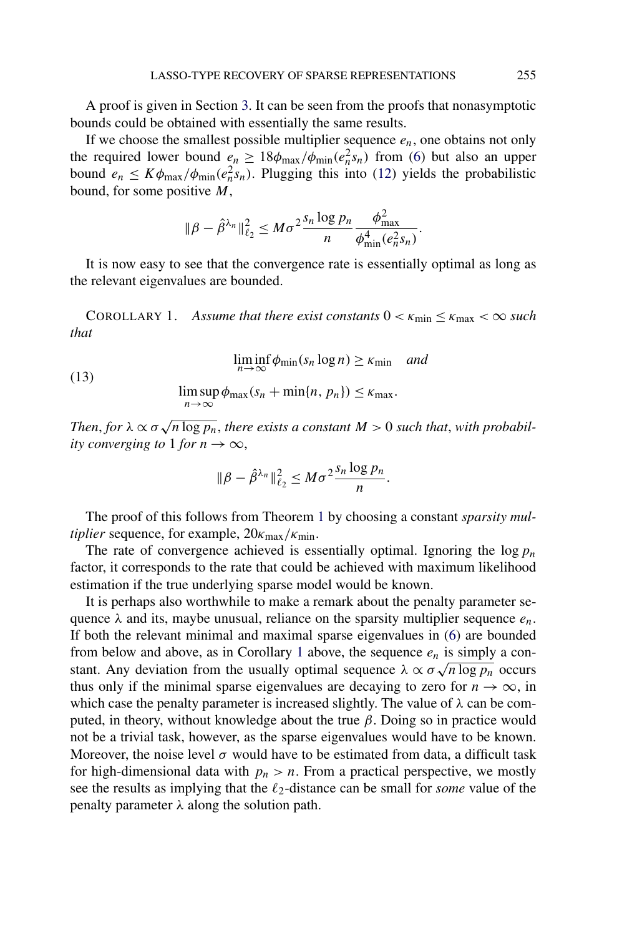<span id="page-9-0"></span>A proof is given in Section [3.](#page-11-0) It can be seen from the proofs that nonasymptotic bounds could be obtained with essentially the same results.

If we choose the smallest possible multiplier sequence  $e_n$ , one obtains not only the required lower bound  $e_n \geq 18\phi_{\text{max}}/\phi_{\text{min}}(e_n^2 s_n)$  from [\(6\)](#page-6-0) but also an upper bound  $e_n \leq K \phi_{\text{max}} / \phi_{\text{min}}(e_n^2 s_n)$ . Plugging this into [\(12\)](#page-8-0) yields the probabilistic bound, for some positive *M*,

$$
\|\beta-\hat{\beta}^{\lambda_n}\|_{\ell_2}^2 \leq M\sigma^2 \frac{s_n \log p_n}{n} \frac{\phi_{\max}^2}{\phi_{\min}^4(e_n^2 s_n)}.
$$

It is now easy to see that the convergence rate is essentially optimal as long as the relevant eigenvalues are bounded.

COROLLARY 1. *Assume that there exist constants*  $0 < \kappa_{\min} \leq \kappa_{\max} < \infty$  such *that*

(13)  
\n
$$
\liminf_{n \to \infty} \phi_{\min}(s_n \log n) \ge \kappa_{\min} \quad and
$$
\n
$$
\limsup_{n \to \infty} \phi_{\max}(s_n + \min\{n, p_n\}) \le \kappa_{\max}.
$$

*Then, for*  $\lambda \propto \sigma \sqrt{n \log p_n}$ , *there exists a constant*  $M > 0$  *such that, with probability converging to* 1 *for*  $n \to \infty$ ,

$$
\|\beta-\hat{\beta}^{\lambda_n}\|_{\ell_2}^2 \leq M\sigma^2 \frac{s_n \log p_n}{n}.
$$

The proof of this follows from Theorem [1](#page-8-0) by choosing a constant *sparsity multiplier* sequence, for example,  $20κ_{max}/κ_{min}$ .

The rate of convergence achieved is essentially optimal. Ignoring the log*pn* factor, it corresponds to the rate that could be achieved with maximum likelihood estimation if the true underlying sparse model would be known.

It is perhaps also worthwhile to make a remark about the penalty parameter sequence  $\lambda$  and its, maybe unusual, reliance on the sparsity multiplier sequence  $e_n$ . If both the relevant minimal and maximal sparse eigenvalues in [\(6\)](#page-6-0) are bounded from below and above, as in Corollary 1 above, the sequence  $e_n$  is simply a constant. Any deviation from the usually optimal sequence  $\lambda \propto \sigma \sqrt{n \log p_n}$  occurs thus only if the minimal sparse eigenvalues are decaying to zero for  $n \to \infty$ , in which case the penalty parameter is increased slightly. The value of *λ* can be computed, in theory, without knowledge about the true *β*. Doing so in practice would not be a trivial task, however, as the sparse eigenvalues would have to be known. Moreover, the noise level  $\sigma$  would have to be estimated from data, a difficult task for high-dimensional data with  $p_n > n$ . From a practical perspective, we mostly see the results as implying that the  $\ell_2$ -distance can be small for *some* value of the penalty parameter *λ* along the solution path.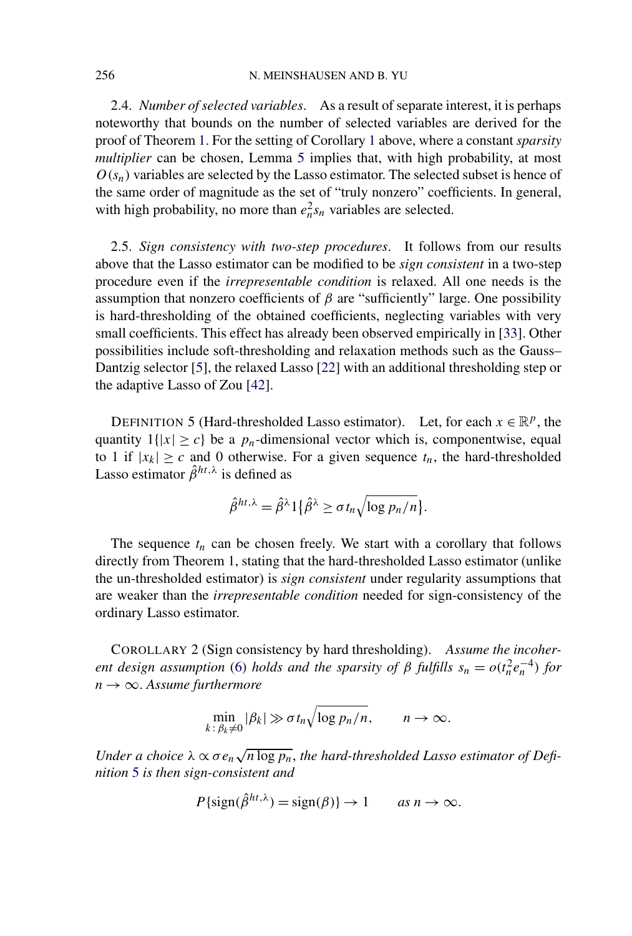2.4. *Number of selected variables*. As a result of separate interest, it is perhaps noteworthy that bounds on the number of selected variables are derived for the proof of Theorem [1.](#page-8-0) For the setting of Corollary [1](#page-9-0) above, where a constant *sparsity multiplier* can be chosen, Lemma [5](#page-17-0) implies that, with high probability, at most  $O(s_n)$  variables are selected by the Lasso estimator. The selected subset is hence of the same order of magnitude as the set of "truly nonzero" coefficients. In general, with high probability, no more than  $e_n^2 s_n$  variables are selected.

2.5. *Sign consistency with two-step procedures*. It follows from our results above that the Lasso estimator can be modified to be *sign consistent* in a two-step procedure even if the *irrepresentable condition* is relaxed. All one needs is the assumption that nonzero coefficients of  $\beta$  are "sufficiently" large. One possibility is hard-thresholding of the obtained coefficients, neglecting variables with very small coefficients. This effect has already been observed empirically in [\[33\]](#page-24-0). Other possibilities include soft-thresholding and relaxation methods such as the Gauss– Dantzig selector [\[5\]](#page-23-0), the relaxed Lasso [\[22\]](#page-23-0) with an additional thresholding step or the adaptive Lasso of Zou [\[42\]](#page-24-0).

DEFINITION 5 (Hard-thresholded Lasso estimator). Let, for each  $x \in \mathbb{R}^p$ , the quantity  $1\{|x| \ge c\}$  be a  $p_n$ -dimensional vector which is, componentwise, equal to 1 if  $|x_k| \geq c$  and 0 otherwise. For a given sequence  $t_n$ , the hard-thresholded Lasso estimator  $\hat{\beta}^{ht,\lambda}$  is defined as

$$
\hat{\beta}^{ht,\lambda} = \hat{\beta}^{\lambda} 1 \{ \hat{\beta}^{\lambda} \ge \sigma t_n \sqrt{\log p_n / n} \}.
$$

The sequence  $t_n$  can be chosen freely. We start with a corollary that follows directly from Theorem [1,](#page-8-0) stating that the hard-thresholded Lasso estimator (unlike the un-thresholded estimator) is *sign consistent* under regularity assumptions that are weaker than the *irrepresentable condition* needed for sign-consistency of the ordinary Lasso estimator.

COROLLARY 2 (Sign consistency by hard thresholding). *Assume the incoherent design assumption* [\(6\)](#page-6-0) *holds and the sparsity of*  $\beta$  *fulfills*  $s_n = o(t_n^2 e_n^{-4})$  *for n* → ∞. *Assume furthermore*

$$
\min_{k\colon\beta_k\neq 0}|\beta_k|\gg \sigma t_n\sqrt{\log p_n/n}, \qquad n\to\infty.
$$

Under a choice  $\lambda \propto \sigma e_n \sqrt{n \log p_n}$ , the hard-thresholded Lasso estimator of Defi*nition* 5 *is then sign-consistent and*

$$
P\{\text{sign}(\hat{\beta}^{ht,\lambda}) = \text{sign}(\beta)\} \to 1 \qquad \text{as } n \to \infty.
$$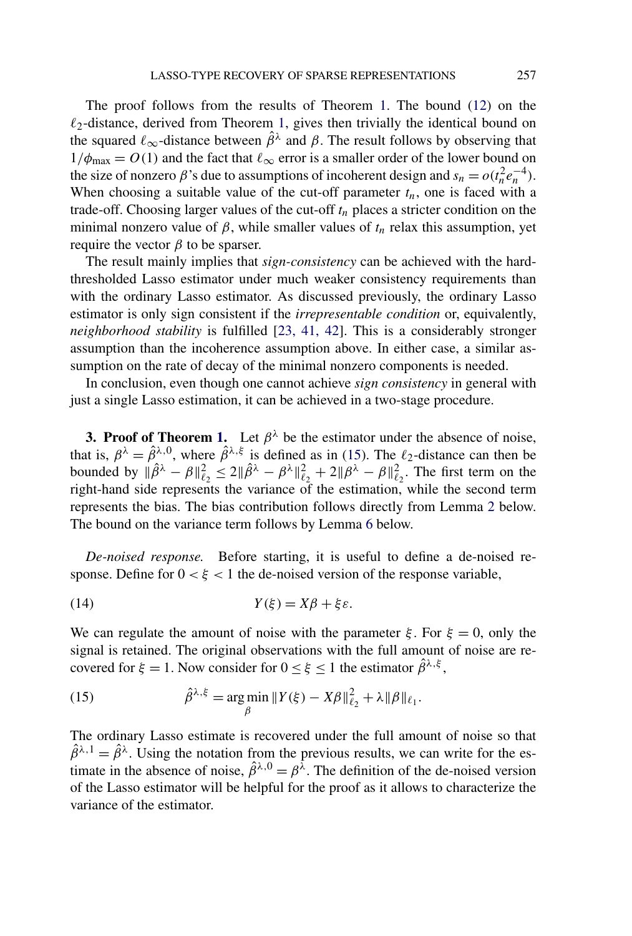<span id="page-11-0"></span>The proof follows from the results of Theorem [1.](#page-8-0) The bound [\(12\)](#page-8-0) on the  $\ell_2$ -distance, derived from Theorem [1,](#page-8-0) gives then trivially the identical bound on the squared  $\ell_{\infty}$ -distance between  $\hat{\beta}^{\lambda}$  and  $\beta$ . The result follows by observing that  $1/\phi_{\text{max}} = O(1)$  and the fact that  $\ell_{\infty}$  error is a smaller order of the lower bound on the size of nonzero  $\beta$ 's due to assumptions of incoherent design and  $s_n = o(t_n^2 e_n^{-4})$ . When choosing a suitable value of the cut-off parameter  $t_n$ , one is faced with a trade-off. Choosing larger values of the cut-off  $t_n$  places a stricter condition on the minimal nonzero value of  $\beta$ , while smaller values of  $t_n$  relax this assumption, yet require the vector  $β$  to be sparser.

The result mainly implies that *sign-consistency* can be achieved with the hardthresholded Lasso estimator under much weaker consistency requirements than with the ordinary Lasso estimator. As discussed previously, the ordinary Lasso estimator is only sign consistent if the *irrepresentable condition* or, equivalently, *neighborhood stability* is fulfilled [\[23, 41, 42\]](#page-23-0). This is a considerably stronger assumption than the incoherence assumption above. In either case, a similar assumption on the rate of decay of the minimal nonzero components is needed.

In conclusion, even though one cannot achieve *sign consistency* in general with just a single Lasso estimation, it can be achieved in a two-stage procedure.

**3. Proof of Theorem [1.](#page-8-0)** Let  $\beta^{\lambda}$  be the estimator under the absence of noise, that is,  $\beta^{\lambda} = \hat{\beta}^{\lambda,0}$ , where  $\hat{\beta}^{\lambda,\xi}$  is defined as in (15). The  $\ell_2$ -distance can then be bounded by  $\|\hat{\beta}^{\lambda} - \beta\|_{\ell_2}^2 \le 2\|\hat{\beta}^{\lambda} - \beta^{\lambda}\|_{\ell_2}^2 + 2\|\beta^{\lambda} - \beta\|_{\ell_2}^2$ . The first term on the right-hand side represents the variance of the estimation, while the second term represents the bias. The bias contribution follows directly from Lemma [2](#page-14-0) below. The bound on the variance term follows by Lemma [6](#page-18-0) below.

*De-noised response.* Before starting, it is useful to define a de-noised response. Define for  $0 < \xi < 1$  the de-noised version of the response variable,

$$
(14) \t Y(\xi) = X\beta + \xi \varepsilon.
$$

We can regulate the amount of noise with the parameter  $\xi$ . For  $\xi = 0$ , only the signal is retained. The original observations with the full amount of noise are recovered for  $\xi = 1$ . Now consider for  $0 \le \xi \le 1$  the estimator  $\hat{\beta}^{\lambda,\xi}$ ,

(15) 
$$
\hat{\beta}^{\lambda,\xi} = \argmin_{\beta} \|Y(\xi) - X\beta\|_{\ell_2}^2 + \lambda \|\beta\|_{\ell_1}.
$$

The ordinary Lasso estimate is recovered under the full amount of noise so that  $\hat{\beta}^{\lambda,1} = \hat{\beta}^{\lambda}$ . Using the notation from the previous results, we can write for the estimate in the absence of noise,  $\hat{\beta}^{\lambda,0} = \beta^{\lambda}$ . The definition of the de-noised version of the Lasso estimator will be helpful for the proof as it allows to characterize the variance of the estimator.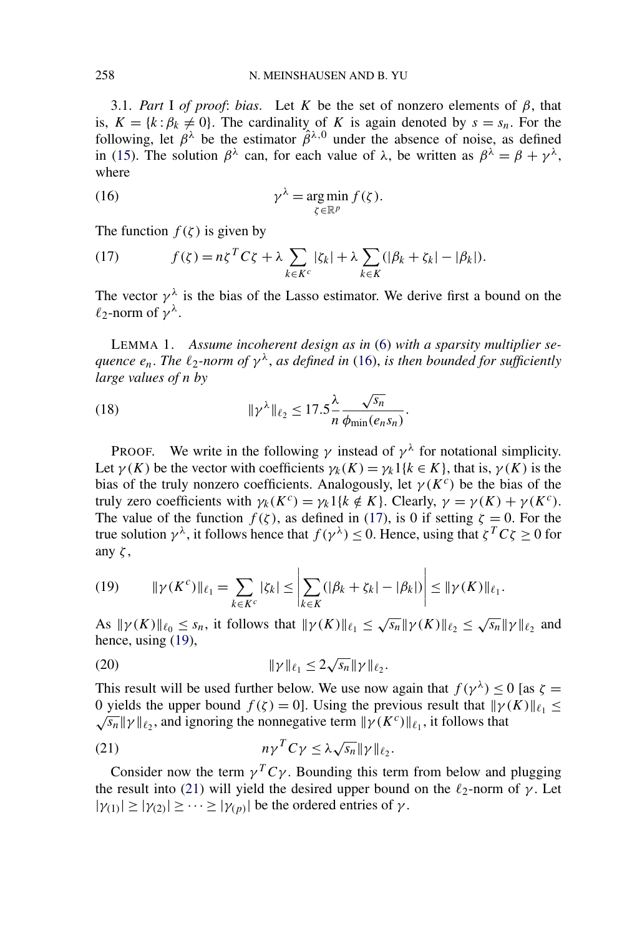<span id="page-12-0"></span>3.1. *Part* I *of proof*: *bias*. Let *K* be the set of nonzero elements of *β*, that is,  $K = \{k : \beta_k \neq 0\}$ . The cardinality of *K* is again denoted by  $s = s_n$ . For the following, let  $\beta^{\lambda}$  be the estimator  $\hat{\beta}^{\lambda,0}$  under the absence of noise, as defined in [\(15\)](#page-11-0). The solution  $\beta^{\lambda}$  can, for each value of  $\lambda$ , be written as  $\beta^{\lambda} = \beta + \gamma^{\lambda}$ , where

(16) 
$$
\gamma^{\lambda} = \argmin_{\zeta \in \mathbb{R}^p} f(\zeta).
$$

The function  $f(\zeta)$  is given by

(17) 
$$
f(\zeta) = n\zeta^T C \zeta + \lambda \sum_{k \in K^c} |\zeta_k| + \lambda \sum_{k \in K} (|\beta_k + \zeta_k| - |\beta_k|).
$$

The vector  $\gamma^{\lambda}$  is the bias of the Lasso estimator. We derive first a bound on the  $\ell_2$ -norm of  $\gamma^{\lambda}$ .

LEMMA 1. *Assume incoherent design as in* [\(6\)](#page-6-0) *with a sparsity multiplier sequence*  $e_n$ . The  $\ell_2$ -norm of  $\gamma^{\lambda}$ , as defined in (16), is then bounded for sufficiently *large values of n by*

(18) 
$$
\|\gamma^{\lambda}\|_{\ell_2} \le 17.5 \frac{\lambda}{n} \frac{\sqrt{s_n}}{\phi_{\min}(e_n s_n)}.
$$

PROOF. We write in the following  $\gamma$  instead of  $\gamma^{\lambda}$  for notational simplicity. Let  $\gamma(K)$  be the vector with coefficients  $\gamma_k(K) = \gamma_k 1\{k \in K\}$ , that is,  $\gamma(K)$  is the bias of the truly nonzero coefficients. Analogously, let  $\gamma(K^c)$  be the bias of the truly zero coefficients with  $γ_k(K^c) = γ_k1\{k \notin K\}$ . Clearly,  $γ = γ(K) + γ(K^c)$ . The value of the function  $f(\zeta)$ , as defined in (17), is 0 if setting  $\zeta = 0$ . For the true solution  $\gamma^{\lambda}$ , it follows hence that  $f(\gamma^{\lambda}) \leq 0$ . Hence, using that  $\zeta^T C \zeta \geq 0$  for any *ζ* ,

(19) 
$$
\|\gamma(K^{c})\|_{\ell_{1}} = \sum_{k \in K^{c}} |\zeta_{k}| \leq \left| \sum_{k \in K} (|\beta_{k} + \zeta_{k}| - |\beta_{k}|) \right| \leq \|\gamma(K)\|_{\ell_{1}}.
$$

As  $\|\gamma(K)\|_{\ell_0} \leq s_n$ , it follows that  $\|\gamma(K)\|_{\ell_1} \leq \sqrt{s_n} \|\gamma(K)\|_{\ell_2} \leq \sqrt{s_n} \|\gamma\|_{\ell_2}$  and hence, using (19),

(20) 
$$
\|\gamma\|_{\ell_1} \le 2\sqrt{s_n} \|\gamma\|_{\ell_2}.
$$

This result will be used further below. We use now again that  $f(\gamma^{\lambda}) \le 0$  [as  $\zeta =$ 0 yields the upper bound  $f(\zeta) = 0$ . Using the previous result that  $\|\gamma(K)\|_{\ell_1} \le$ *v* yields the upper bound *f* (*ζ j* = 0*j*. Using the previous result that  $||f(x)|_{\ell_2}$ , and ignoring the nonnegative term  $||f(x^c)||_{\ell_1}$ , it follows that

(21) 
$$
n\gamma^T C \gamma \leq \lambda \sqrt{s_n} \|\gamma\|_{\ell_2}.
$$

Consider now the term  $\gamma^T C \gamma$ . Bounding this term from below and plugging the result into (21) will yield the desired upper bound on the  $\ell_2$ -norm of  $\gamma$ . Let  $|\gamma(1)| \ge |\gamma(2)| \ge \cdots \ge |\gamma(n)|$  be the ordered entries of *γ*.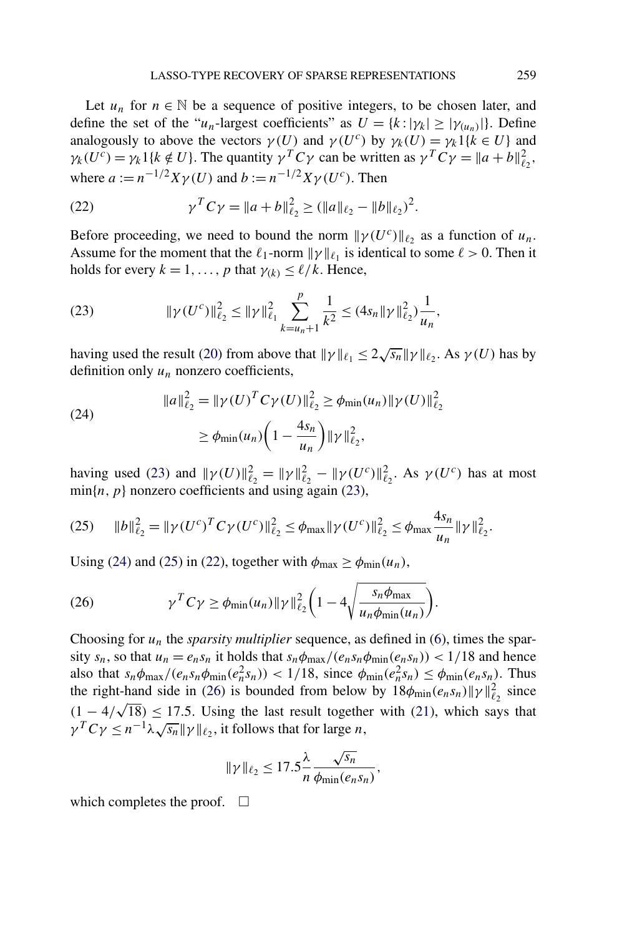Let  $u_n$  for  $n \in \mathbb{N}$  be a sequence of positive integers, to be chosen later, and define the set of the "*u<sub>n</sub>*-largest coefficients" as  $U = \{k : |\gamma_k| \ge |\gamma(u_n)|\}$ . Define analogously to above the vectors  $\gamma(U)$  and  $\gamma(U^c)$  by  $\gamma_k(U) = \gamma_k \hat{1}\{k \in U\}$  and  $\gamma_k(U^c) = \gamma_k 1\{k \notin U\}$ . The quantity  $\gamma^T C \gamma$  can be written as  $\gamma^T C \gamma = \|a + b\|_{\ell_2}^2$ , where  $a := n^{-1/2}Xv(U)$  and  $b := n^{-1/2}Xv(U^c)$ . Then

(22) 
$$
\gamma^T C \gamma = \|a+b\|_{\ell_2}^2 \ge (\|a\|_{\ell_2} - \|b\|_{\ell_2})^2.
$$

Before proceeding, we need to bound the norm  $\|\gamma(U^c)\|_{\ell_2}$  as a function of  $u_n$ . Assume for the moment that the  $\ell_1$ -norm  $\|\gamma\|_{\ell_1}$  is identical to some  $\ell > 0$ . Then it holds for every  $k = 1, \ldots, p$  that  $\gamma(k) \leq \ell/k$ . Hence,

(23) 
$$
\|\gamma(U^c)\|_{\ell_2}^2 \le \|\gamma\|_{\ell_1}^2 \sum_{k=u_n+1}^p \frac{1}{k^2} \le (4s_n \|\gamma\|_{\ell_2}^2) \frac{1}{u_n},
$$

having used the result [\(20\)](#page-12-0) from above that  $\|\gamma\|_{\ell_1} \leq 2\sqrt{s_n}\|\gamma\|_{\ell_2}$ . As  $\gamma(U)$  has by definition only  $u_n$  nonzero coefficients,

(24)  

$$
||a||_{\ell_2}^2 = ||\gamma(U)^T C \gamma(U)||_{\ell_2}^2 \ge \phi_{\min}(u_n) ||\gamma(U)||_{\ell_2}^2
$$

$$
\ge \phi_{\min}(u_n) \left(1 - \frac{4s_n}{u_n}\right) ||\gamma||_{\ell_2}^2,
$$

having used (23) and  $\|\gamma(U)\|_{\ell_2}^2 = \|\gamma\|_{\ell_2}^2 - \|\gamma(U^c)\|_{\ell_2}^2$ . As  $\gamma(U^c)$  has at most  $min\{n, p\}$  nonzero coefficients and using again (23),

$$
(25) \qquad \|b\|_{\ell_2}^2 = \|\gamma(U^c)^T C \gamma(U^c)\|_{\ell_2}^2 \leq \phi_{\text{max}} \|\gamma(U^c)\|_{\ell_2}^2 \leq \phi_{\text{max}} \frac{4s_n}{u_n} \|\gamma\|_{\ell_2}^2.
$$

Using (24) and (25) in (22), together with  $\phi_{\text{max}} \ge \phi_{\text{min}}(u_n)$ ,

(26) 
$$
\gamma^{T} C \gamma \geq \phi_{\min}(u_{n}) \|\gamma\|_{\ell_{2}}^{2} \bigg(1 - 4 \sqrt{\frac{s_{n} \phi_{\max}}{u_{n} \phi_{\min}(u_{n})}}\bigg).
$$

Choosing for  $u_n$  the *sparsity multiplier* sequence, as defined in [\(6\)](#page-6-0), times the sparsity  $s_n$ , so that  $u_n = e_n s_n$  it holds that  $s_n \phi_{\text{max}}/(e_n s_n \phi_{\text{min}}(e_n s_n)) < 1/18$  and hence also that  $s_n \phi_{\text{max}}/(e_n s_n \phi_{\text{min}}(e_n^2 s_n)) < 1/18$ , since  $\phi_{\text{min}}(e_n^2 s_n) \le \phi_{\text{min}}(e_n s_n)$ . Thus the right-hand side in (26) is bounded from below by  $18\phi_{\text{min}}(e_n s_n) ||\gamma||_{\ell_2}^2$  since  $(1 - 4/\sqrt{18}) \le 17.5$ . Using the last result together with [\(21\)](#page-12-0), which says that  $\gamma^T C \gamma \leq n^{-1} \lambda \sqrt{s_n} ||\gamma||_{\ell_2}$ , it follows that for large *n*,

$$
\|\gamma\|_{\ell_2} \le 17.5 \frac{\lambda}{n} \frac{\sqrt{s_n}}{\phi_{\min}(e_n s_n)},
$$

which completes the proof.  $\Box$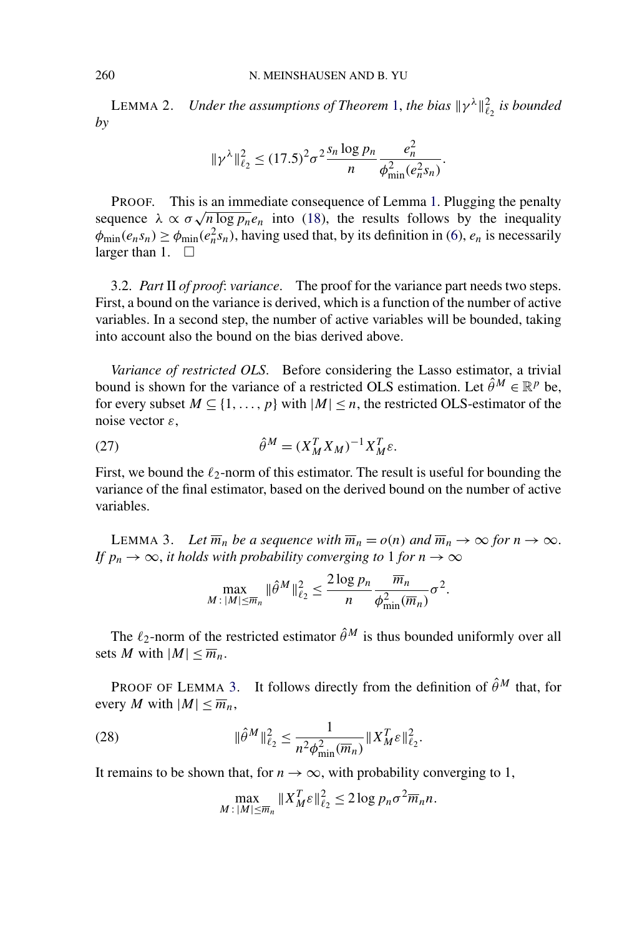<span id="page-14-0"></span>**LEMMA 2.** *Under the assumptions of Theorem* [1,](#page-8-0) *the bias*  $\|\gamma^{\lambda}\|_{\ell_2}^2$  *is bounded by*

$$
\|\gamma^{\lambda}\|_{\ell_2}^2 \le (17.5)^2 \sigma^2 \frac{s_n \log p_n}{n} \frac{e_n^2}{\phi_{\min}^2(e_n^2 s_n)}.
$$

PROOF. This is an immediate consequence of Lemma [1.](#page-12-0) Plugging the penalty **EXECUTE:** This is an immediate consequence of Lemma 1. Plugging the penatty sequence  $\lambda \propto \sigma \sqrt{n \log p_n} e_n$  into [\(18\)](#page-12-0), the results follows by the inequality  $\phi_{\min}(e_n s_n) \ge \phi_{\min}(e_n^2 s_n)$ , having used that, by its definition in [\(6\)](#page-6-0),  $e_n$  is necessarily larger than 1.  $\Box$ 

3.2. *Part* II *of proof*: *variance*. The proof for the variance part needs two steps. First, a bound on the variance is derived, which is a function of the number of active variables. In a second step, the number of active variables will be bounded, taking into account also the bound on the bias derived above.

*Variance of restricted OLS*. Before considering the Lasso estimator, a trivial bound is shown for the variance of a restricted OLS estimation. Let  $\hat{\theta}^M \in \mathbb{R}^p$  be, for every subset  $M \subseteq \{1, ..., p\}$  with  $|M| \le n$ , the restricted OLS-estimator of the noise vector *ε*,

$$
\hat{\theta}^M = (X_M^T X_M)^{-1} X_M^T \varepsilon.
$$

First, we bound the  $\ell_2$ -norm of this estimator. The result is useful for bounding the variance of the final estimator, based on the derived bound on the number of active variables.

LEMMA 3. Let  $\overline{m}_n$  be a sequence with  $\overline{m}_n = o(n)$  and  $\overline{m}_n \to \infty$  for  $n \to \infty$ . *If*  $p_n \to \infty$ , *it holds with probability converging to* 1 *for*  $n \to \infty$ 

$$
\max_{M \,:\, |M| \le \overline{m}_n} \|\hat{\theta}^M\|_{\ell_2}^2 \le \frac{2\log p_n}{n} \frac{\overline{m}_n}{\phi_{\min}^2(\overline{m}_n)} \sigma^2.
$$

The  $\ell_2$ -norm of the restricted estimator  $\hat{\theta}^M$  is thus bounded uniformly over all sets *M* with  $|M| < \overline{m_n}$ .

PROOF OF LEMMA 3. It follows directly from the definition of  $\hat{\theta}^M$  that, for every *M* with  $|M| \leq \overline{m}_n$ ,

(28) 
$$
\|\hat{\theta}^{M}\|_{\ell_2}^2 \leq \frac{1}{n^2 \phi_{\min}^2(\overline{m}_n)} \|X_M^T \varepsilon\|_{\ell_2}^2.
$$

It remains to be shown that, for  $n \to \infty$ , with probability converging to 1,

$$
\max_{M\colon |M|\leq \overline{m}_n} \|X_M^T \varepsilon\|_{\ell_2}^2 \leq 2\log p_n \sigma^2 \overline{m}_n n.
$$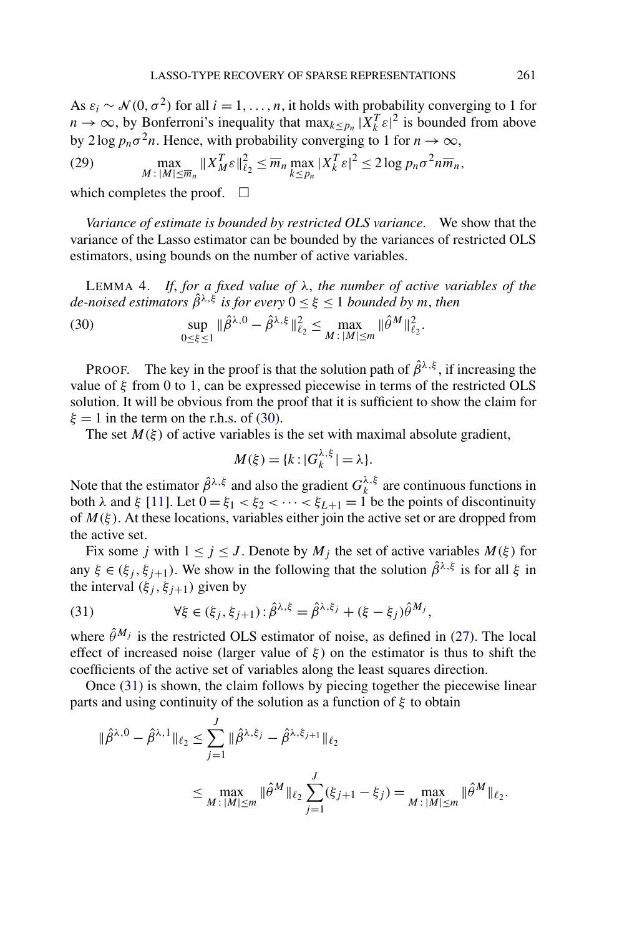<span id="page-15-0"></span>As  $\varepsilon_i \sim \mathcal{N}(0, \sigma^2)$  for all  $i = 1, \ldots, n$ , it holds with probability converging to 1 for  $n \to \infty$ , by Bonferroni's inequality that  $\max_{k \leq p_n} |\tilde{X}_k^T \varepsilon|^2$  is bounded from above by 2 log  $p_n \sigma^2 n$ . Hence, with probability converging to 1 for  $n \to \infty$ ,

(29) 
$$
\max_{M \,:\, |M| \leq \overline{m}_n} \|X_M^T \varepsilon\|_{\ell_2}^2 \leq \overline{m}_n \max_{k \leq p_n} |X_k^T \varepsilon|^2 \leq 2 \log p_n \sigma^2 n \overline{m}_n,
$$

which completes the proof.  $\square$ 

*Variance of estimate is bounded by restricted OLS variance*. We show that the variance of the Lasso estimator can be bounded by the variances of restricted OLS estimators, using bounds on the number of active variables.

LEMMA 4. *If*, *for a fixed value of λ*, *the number of active variables of the de-noised estimators*  $\hat{\beta}^{\lambda,\xi}$  *is for every*  $0 \leq \xi \leq 1$  *bounded by m, then* 

(30) 
$$
\sup_{0 \le \xi \le 1} \|\hat{\beta}^{\lambda,0} - \hat{\beta}^{\lambda,\xi}\|_{\ell_2}^2 \le \max_{M \,:\, |M| \le m} \|\hat{\theta}^M\|_{\ell_2}^2.
$$

PROOF. The key in the proof is that the solution path of  $\hat{\beta}^{\lambda,\xi}$ , if increasing the value of *ξ* from 0 to 1, can be expressed piecewise in terms of the restricted OLS solution. It will be obvious from the proof that it is sufficient to show the claim for  $\xi = 1$  in the term on the r.h.s. of (30).

The set  $M(\xi)$  of active variables is the set with maximal absolute gradient,

$$
M(\xi) = \{k : |G_k^{\lambda,\xi}| = \lambda\}.
$$

Note that the estimator  $\hat{\beta}^{\lambda,\xi}$  and also the gradient  $G_k^{\lambda,\xi}$  are continuous functions in both *λ* and *ξ* [\[11\]](#page-23-0). Let  $0 = \xi_1 < \xi_2 < \cdots < \xi_{L+1} = 1$  be the points of discontinuity of  $M(\xi)$ . At these locations, variables either join the active set or are dropped from the active set.

Fix some *j* with  $1 \le j \le J$ . Denote by  $M_j$  the set of active variables  $M(\xi)$  for any  $\xi \in (\xi_j, \xi_{j+1})$ . We show in the following that the solution  $\hat{\beta}^{\lambda,\xi}$  is for all  $\xi$  in the interval  $(\xi_j, \xi_{j+1})$  given by

(31) 
$$
\forall \xi \in (\xi_j, \xi_{j+1}) : \hat{\beta}^{\lambda, \xi} = \hat{\beta}^{\lambda, \xi_j} + (\xi - \xi_j) \hat{\theta}^{M_j},
$$

where  $\hat{\theta}^{M_j}$  is the restricted OLS estimator of noise, as defined in [\(27\)](#page-14-0). The local effect of increased noise (larger value of  $\xi$ ) on the estimator is thus to shift the coefficients of the active set of variables along the least squares direction.

Once (31) is shown, the claim follows by piecing together the piecewise linear parts and using continuity of the solution as a function of *ξ* to obtain

$$
\|\hat{\beta}^{\lambda,0} - \hat{\beta}^{\lambda,1}\|_{\ell_2} \le \sum_{j=1}^J \|\hat{\beta}^{\lambda,\xi_j} - \hat{\beta}^{\lambda,\xi_{j+1}}\|_{\ell_2}
$$
  

$$
\le \max_{M \colon |M| \le m} \|\hat{\theta}^M\|_{\ell_2} \sum_{j=1}^J (\xi_{j+1} - \xi_j) = \max_{M \colon |M| \le m} \|\hat{\theta}^M\|_{\ell_2}.
$$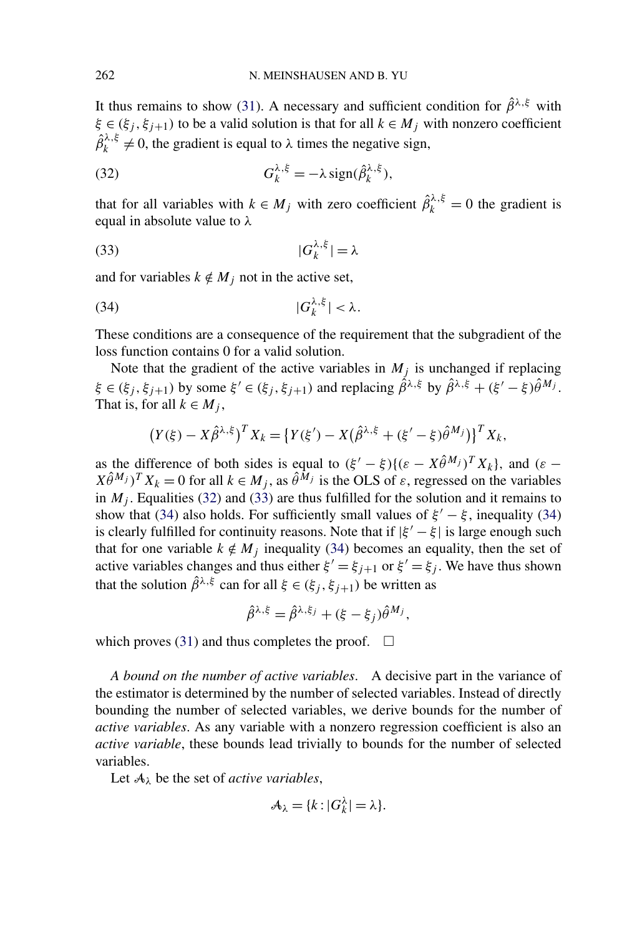It thus remains to show [\(31\)](#page-15-0). A necessary and sufficient condition for  $\hat{\beta}^{\lambda,\xi}$  with  $\xi \in (\xi_j, \xi_{j+1})$  to be a valid solution is that for all  $k \in M_j$  with nonzero coefficient  $\hat{\beta}_k^{\lambda,\xi} \neq 0$ , the gradient is equal to  $\lambda$  times the negative sign,

(32) 
$$
G_k^{\lambda,\xi} = -\lambda \operatorname{sign}(\hat{\beta}_k^{\lambda,\xi}),
$$

that for all variables with  $k \in M_j$  with zero coefficient  $\hat{\beta}_k^{\lambda,\xi} = 0$  the gradient is equal in absolute value to *λ*

$$
(33)\t\t\t |G_k^{\lambda,\xi}| = \lambda
$$

and for variables  $k \notin M_j$  not in the active set,

$$
|G_k^{\lambda,\xi}|<\lambda.
$$

These conditions are a consequence of the requirement that the subgradient of the loss function contains 0 for a valid solution.

Note that the gradient of the active variables in  $M_i$  is unchanged if replacing  $\xi \in (\xi_i, \xi_{i+1})$  by some  $\xi' \in (\xi_i, \xi_{i+1})$  and replacing  $\hat{\beta}^{\lambda,\xi}$  by  $\hat{\beta}^{\lambda,\xi} + (\xi' - \xi)\hat{\theta}^{M}$ . That is, for all  $k \in M_i$ ,

$$
(Y(\xi) - X\hat{\beta}^{\lambda,\xi})^T X_k = \left\{ Y(\xi') - X(\hat{\beta}^{\lambda,\xi} + (\xi' - \xi)\hat{\theta}^{M_j}) \right\}^T X_k,
$$

as the difference of both sides is equal to  $(\xi' - \xi)(\epsilon - X\hat{\theta}^{M_j})^T X_k$ , and  $(\epsilon X\hat{\theta}^{M_j}$ *T*  $X_k = 0$  for all  $k \in M_j$ , as  $\hat{\theta}^{M_j}$  is the OLS of  $\varepsilon$ , regressed on the variables in  $M_i$ . Equalities (32) and (33) are thus fulfilled for the solution and it remains to show that (34) also holds. For sufficiently small values of  $\xi' - \xi$ , inequality (34) is clearly fulfilled for continuity reasons. Note that if  $|\xi' - \xi|$  is large enough such that for one variable  $k \notin M_j$  inequality (34) becomes an equality, then the set of active variables changes and thus either  $\xi' = \xi_{i+1}$  or  $\xi' = \xi_i$ . We have thus shown that the solution  $\hat{\beta}^{\lambda,\xi}$  can for all  $\xi \in (\xi_i, \xi_{i+1})$  be written as

$$
\hat{\beta}^{\lambda,\xi} = \hat{\beta}^{\lambda,\xi_j} + (\xi - \xi_j) \hat{\theta}^{M_j},
$$

which proves [\(31\)](#page-15-0) and thus completes the proof.  $\Box$ 

*A bound on the number of active variables*. A decisive part in the variance of the estimator is determined by the number of selected variables. Instead of directly bounding the number of selected variables, we derive bounds for the number of *active variables*. As any variable with a nonzero regression coefficient is also an *active variable*, these bounds lead trivially to bounds for the number of selected variables.

Let A*<sup>λ</sup>* be the set of *active variables*,

$$
\mathcal{A}_{\lambda} = \{k : |G_{k}^{\lambda}| = \lambda\}.
$$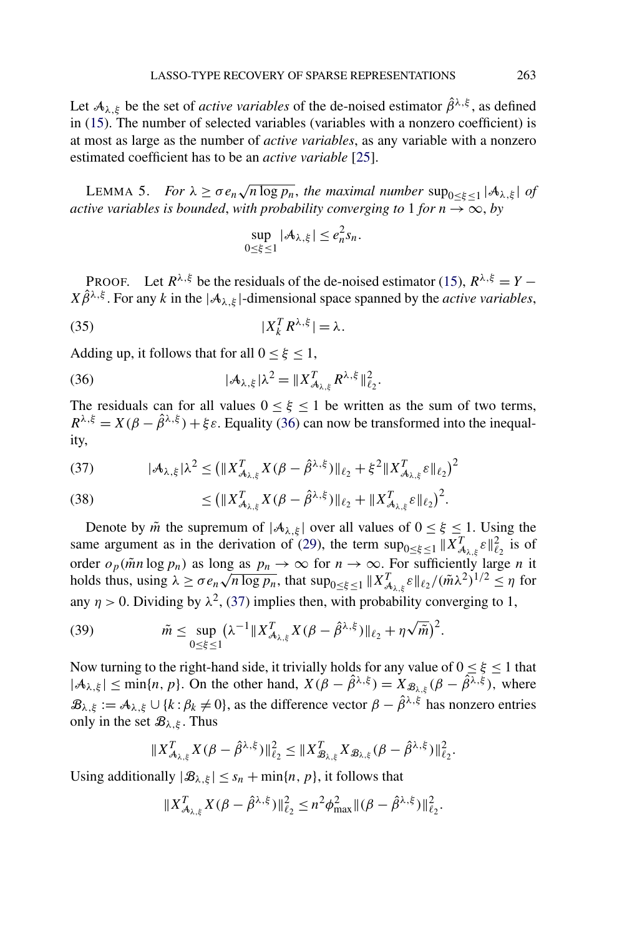<span id="page-17-0"></span>Let  $A_{\lambda,\xi}$  be the set of *active variables* of the de-noised estimator  $\hat{\beta}^{\lambda,\xi}$ , as defined in [\(15\)](#page-11-0). The number of selected variables (variables with a nonzero coefficient) is at most as large as the number of *active variables*, as any variable with a nonzero estimated coefficient has to be an *active variable* [\[25\]](#page-24-0).

LEMMA 5. *For*  $\lambda \ge \sigma e_n \sqrt{n \log p_n}$ , the maximal number  $\sup_{0 \le \xi \le 1} |\mathcal{A}_{\lambda,\xi}|$  of *active variables is bounded, with probability converging to* 1 *for*  $n \rightarrow \infty$ , *by* 

$$
\sup_{0\leq\xi\leq 1}|\mathcal{A}_{\lambda,\xi}|\leq e_n^2s_n.
$$

PROOF. Let  $R^{\lambda,\xi}$  be the residuals of the de-noised estimator [\(15\)](#page-11-0),  $R^{\lambda,\xi} = Y X\hat{\beta}^{\lambda,\xi}$ . For any *k* in the  $|\mathcal{A}_{\lambda,\xi}|$ -dimensional space spanned by the *active variables*,

$$
(35) \t\t\t |X_k^T R^{\lambda,\xi}| = \lambda.
$$

Adding up, it follows that for all  $0 \leq \xi \leq 1$ ,

$$
(36) \t\t\t |\mathcal{A}_{\lambda,\xi}|\lambda^2 = \|X_{\mathcal{A}_{\lambda,\xi}}^T R^{\lambda,\xi}\|_{\ell_2}^2.
$$

The residuals can for all values  $0 \leq \xi \leq 1$  be written as the sum of two terms,  $R^{\lambda,\xi} = X(\beta - \hat{\beta}^{\lambda,\xi}) + \xi \varepsilon$ . Equality (36) can now be transformed into the inequality,

$$
(37) \qquad |\mathcal{A}_{\lambda,\xi}|\lambda^2 \le (||X_{\mathcal{A}_{\lambda,\xi}}^T X(\beta - \hat{\beta}^{\lambda,\xi})||_{\ell_2} + \xi^2 ||X_{\mathcal{A}_{\lambda,\xi}}^T \varepsilon||_{\ell_2})^2
$$

(38) 
$$
\leq (||X_{\mathcal{A}_{\lambda,\xi}}^T X(\beta - \hat{\beta}^{\lambda,\xi})||_{\ell_2} + ||X_{\mathcal{A}_{\lambda,\xi}}^T \varepsilon||_{\ell_2})^2.
$$

Denote by  $\tilde{m}$  the supremum of  $|A_{\lambda,\xi}|$  over all values of  $0 \leq \xi \leq 1$ . Using the same argument as in the derivation of [\(29\)](#page-15-0), the term  $\sup_{0 \le \xi \le 1} \|X_{\mathcal{A}_{\lambda,\xi}}^T \varepsilon\|_{\ell_2}^2$  is of order  $o_p(\tilde{m}n \log p_n)$  as long as  $p_n \to \infty$  for  $n \to \infty$ . For sufficiently large *n* it brider  $o_p(mn \log p_n)$  as long as  $p_n \to \infty$  for  $n \to \infty$ . For sumclemly large *n* it holds thus, using  $\lambda \ge \sigma e_n \sqrt{n \log p_n}$ , that  $\sup_{0 \le \xi \le 1} ||X_{\mathcal{A}_{\lambda,\xi}}^T \xi||_{\ell_2} / (\tilde{m} \lambda^2)^{1/2} \le \eta$  for any  $\eta > 0$ . Dividing by  $\lambda^2$ , (37) implies then, with probability converging to 1,

(39) 
$$
\tilde{m} \leq \sup_{0 \leq \xi \leq 1} (\lambda^{-1} \| X_{\mathcal{A}_{\lambda,\xi}}^T X(\beta - \hat{\beta}^{\lambda,\xi}) \|_{\ell_2} + \eta \sqrt{\tilde{m}})^2.
$$

Now turning to the right-hand side, it trivially holds for any value of  $0 \le \xi \le 1$  that  $|A_{\lambda,\xi}| \le \min\{n, p\}$ . On the other hand,  $X(\beta - \hat{\beta}^{\lambda,\xi}) = X_{\mathcal{B}_{\lambda,\xi}}(\beta - \hat{\beta}^{\lambda,\xi})$ , where  $\mathcal{B}_{\lambda,\xi} := \mathcal{A}_{\lambda,\xi} \cup \{k : \beta_k \neq 0\}$ , as the difference vector  $\beta - \hat{\beta}^{\lambda,\xi}$  has nonzero entries only in the set  $\mathcal{B}_{\lambda, \xi}$ . Thus

$$
||X_{\mathcal{A}_{\lambda,\xi}}^T X(\beta-\hat{\beta}^{\lambda,\xi})||_{\ell_2}^2 \leq ||X_{\mathcal{B}_{\lambda,\xi}}^T X_{\mathcal{B}_{\lambda,\xi}}(\beta-\hat{\beta}^{\lambda,\xi})||_{\ell_2}^2.
$$

Using additionally  $|\mathcal{B}_{\lambda,\xi}| \leq s_n + \min\{n, p\}$ , it follows that

$$
||X_{\mathcal{A}_{\lambda,\xi}}^T X(\beta - \hat{\beta}^{\lambda,\xi})||_{\ell_2}^2 \leq n^2 \phi_{\max}^2 ||(\beta - \hat{\beta}^{\lambda,\xi})||_{\ell_2}^2.
$$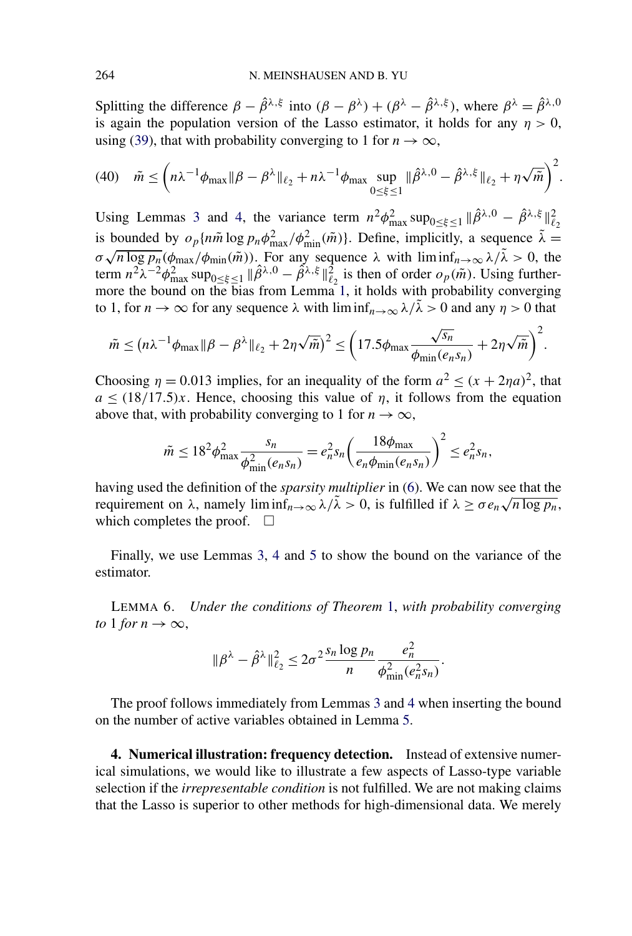<span id="page-18-0"></span>Splitting the difference  $\beta - \hat{\beta}^{\lambda,\xi}$  into  $(\beta - \beta^{\lambda}) + (\beta^{\lambda} - \hat{\beta}^{\lambda,\xi})$ , where  $\beta^{\lambda} = \hat{\beta}^{\lambda,0}$ is again the population version of the Lasso estimator, it holds for any  $\eta > 0$ , using [\(39\)](#page-17-0), that with probability converging to 1 for  $n \to \infty$ ,

$$
(40) \quad \tilde{m} \le \left(n\lambda^{-1}\phi_{\max}\|\beta-\beta^{\lambda}\|_{\ell_{2}}+n\lambda^{-1}\phi_{\max}\sup_{0\le\xi\le1}\|\hat{\beta}^{\lambda,0}-\hat{\beta}^{\lambda,\xi}\|_{\ell_{2}}+n\sqrt{\tilde{m}}\right)^{2}.
$$

Using Lemmas [3](#page-14-0) and [4,](#page-15-0) the variance term  $n^2 \phi_{\text{max}}^2 \sup_{0 \le \xi \le 1} ||\hat{\beta}^{\lambda,0} - \hat{\beta}^{\lambda,\xi}||_{\ell_2}^2$ is bounded by  $o_p\{n\tilde{m}\log p_n\phi_{\text{max}}^2/\phi_{\text{min}}^2(\tilde{m})\}$ . Define, implicitly, a sequence  $\tilde{\lambda} =$ *σ*  $\sqrt{n \log p_n}(\phi_{\text{max}}/\phi_{\text{min}}(\tilde{m}))$ . For any sequence *λ* with lim inf<sub>*n*→∞</sub>  $\lambda/\lambda > 0$ , the term  $n^2\lambda^{-2}\phi_{\text{max}}^2 \sup_{0\leq \xi \leq 1} ||\hat{\beta}^{\lambda,0} - \hat{\beta}^{\lambda,\xi}||_{\ell_2}^2$  is then of order  $o_p(\tilde{m})$ . Using furthermore the bound on the bias from Lemma [1,](#page-12-0) it holds with probability converging to 1, for  $n \to \infty$  for any sequence  $\lambda$  with  $\liminf_{n \to \infty} \lambda/\lambda > 0$  and any  $\eta > 0$  that

$$
\tilde{m} \leq (n\lambda^{-1}\phi_{\max}\|\beta-\beta^{\lambda}\|_{\ell_2}+2\eta\sqrt{\tilde{m}})^2 \leq \left(17.5\phi_{\max}\frac{\sqrt{s_n}}{\phi_{\min}(e_ns_n)}+2\eta\sqrt{\tilde{m}}\right)^2.
$$

Choosing  $\eta = 0.013$  implies, for an inequality of the form  $a^2 \le (x + 2\eta a)^2$ , that  $a \leq (18/17.5)x$ . Hence, choosing this value of *η*, it follows from the equation above that, with probability converging to 1 for  $n \to \infty$ ,

$$
\tilde{m} \le 18^2 \phi_{\max}^2 \frac{s_n}{\phi_{\min}^2(e_n s_n)} = e_n^2 s_n \left(\frac{18 \phi_{\max}}{e_n \phi_{\min}(e_n s_n)}\right)^2 \le e_n^2 s_n,
$$

having used the definition of the *sparsity multiplier* in [\(6\)](#page-6-0). We can now see that the requirement on  $\lambda$ , namely lim  $\inf_{n\to\infty} \lambda/\tilde{\lambda} > 0$ , is fulfilled if  $\lambda \ge \sigma e_n \sqrt{n \log p_n}$ , which completes the proof.  $\Box$ 

Finally, we use Lemmas [3,](#page-14-0) [4](#page-15-0) and [5](#page-17-0) to show the bound on the variance of the estimator.

LEMMA 6. *Under the conditions of Theorem* [1,](#page-8-0) *with probability converging to* 1 *for*  $n \to \infty$ ,

$$
\|\beta^{\lambda}-\hat{\beta}^{\lambda}\|_{\ell_2}^2 \leq 2\sigma^2 \frac{s_n \log p_n}{n} \frac{e_n^2}{\phi_{\min}^2(e_n^2 s_n)}.
$$

The proof follows immediately from Lemmas [3](#page-14-0) and [4](#page-15-0) when inserting the bound on the number of active variables obtained in Lemma [5.](#page-17-0)

**4. Numerical illustration: frequency detection.** Instead of extensive numerical simulations, we would like to illustrate a few aspects of Lasso-type variable selection if the *irrepresentable condition* is not fulfilled. We are not making claims that the Lasso is superior to other methods for high-dimensional data. We merely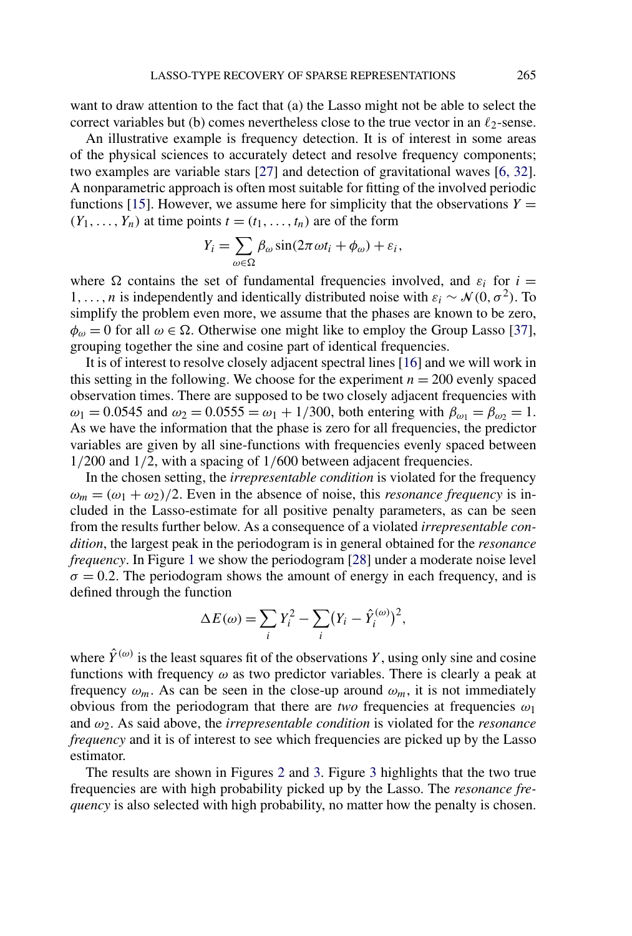want to draw attention to the fact that (a) the Lasso might not be able to select the correct variables but (b) comes nevertheless close to the true vector in an  $\ell_2$ -sense.

An illustrative example is frequency detection. It is of interest in some areas of the physical sciences to accurately detect and resolve frequency components; two examples are variable stars [\[27\]](#page-24-0) and detection of gravitational waves [\[6, 32\]](#page-23-0). A nonparametric approach is often most suitable for fitting of the involved periodic functions [\[15\]](#page-23-0). However, we assume here for simplicity that the observations  $Y =$  $(Y_1, \ldots, Y_n)$  at time points  $t = (t_1, \ldots, t_n)$  are of the form

$$
Y_i = \sum_{\omega \in \Omega} \beta_\omega \sin(2\pi \omega t_i + \phi_\omega) + \varepsilon_i,
$$

where  $\Omega$  contains the set of fundamental frequencies involved, and  $\varepsilon_i$  for  $i =$ 1,..., *n* is independently and identically distributed noise with  $\varepsilon_i \sim \mathcal{N}(0, \sigma^2)$ . To simplify the problem even more, we assume that the phases are known to be zero,  $\phi_{\omega} = 0$  for all  $\omega \in \Omega$ . Otherwise one might like to employ the Group Lasso [\[37\]](#page-24-0), grouping together the sine and cosine part of identical frequencies.

It is of interest to resolve closely adjacent spectral lines [\[16\]](#page-23-0) and we will work in this setting in the following. We choose for the experiment  $n = 200$  evenly spaced observation times. There are supposed to be two closely adjacent frequencies with *ω*<sub>1</sub> = 0.0545 and *ω*<sub>2</sub> = 0.0555 = *ω*<sub>1</sub> + 1/300, both entering with  $β<sub>ω<sub>1</sub></sub> = β<sub>ω<sub>2</sub></sub> = 1$ . As we have the information that the phase is zero for all frequencies, the predictor variables are given by all sine-functions with frequencies evenly spaced between 1*/*200 and 1*/*2, with a spacing of 1*/*600 between adjacent frequencies.

In the chosen setting, the *irrepresentable condition* is violated for the frequency  $\omega_m = (\omega_1 + \omega_2)/2$ . Even in the absence of noise, this *resonance frequency* is included in the Lasso-estimate for all positive penalty parameters, as can be seen from the results further below. As a consequence of a violated *irrepresentable condition*, the largest peak in the periodogram is in general obtained for the *resonance frequency*. In Figure [1](#page-20-0) we show the periodogram [\[28\]](#page-24-0) under a moderate noise level  $\sigma = 0.2$ . The periodogram shows the amount of energy in each frequency, and is defined through the function

$$
\Delta E(\omega) = \sum_i Y_i^2 - \sum_i (Y_i - \hat{Y}_i^{(\omega)})^2,
$$

where  $\hat{Y}^{(\omega)}$  is the least squares fit of the observations *Y*, using only sine and cosine functions with frequency *ω* as two predictor variables. There is clearly a peak at frequency  $\omega_m$ . As can be seen in the close-up around  $\omega_m$ , it is not immediately obvious from the periodogram that there are *two* frequencies at frequencies *ω*<sup>1</sup> and *ω*2. As said above, the *irrepresentable condition* is violated for the *resonance frequency* and it is of interest to see which frequencies are picked up by the Lasso estimator.

The results are shown in Figures [2](#page-20-0) and [3.](#page-21-0) Figure [3](#page-21-0) highlights that the two true frequencies are with high probability picked up by the Lasso. The *resonance frequency* is also selected with high probability, no matter how the penalty is chosen.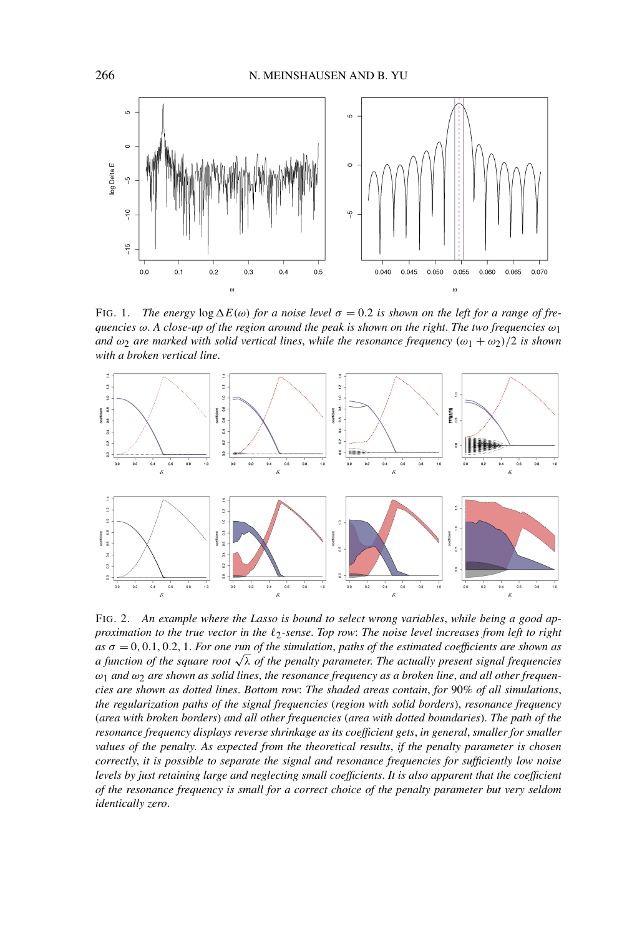<span id="page-20-0"></span>

FIG. 1. *The energy*  $\log \Delta E(\omega)$  *for a noise level*  $\sigma = 0.2$  *is shown on the left for a range of frequencies ω*. *A close-up of the region around the peak is shown on the right*. *The two frequencies ω*1 *and*  $\omega_2$  *are marked with solid vertical lines, while the resonance frequency*  $(\omega_1 + \omega_2)/2$  *is shown with a broken vertical line*.



FIG. 2. *An example where the Lasso is bound to select wrong variables*, *while being a good approximation to the true vector in the -*2*-sense*. *Top row*: *The noise level increases from left to right as σ* = 0*,* 0*.*1*,* 0*.*2*,* 1. *For one run of the simulation*, *paths of the estimated coefficients are shown as a function of the square root*  $\sqrt{\lambda}$  *of the penalty parameter. The actually present signal frequencies ω*1 *and ω*2 *are shown as solid lines*, *the resonance frequency as a broken line*, *and all other frequencies are shown as dotted lines*. *Bottom row*: *The shaded areas contain*, *for* 90*% of all simulations*, *the regularization paths of the signal frequencies* (*region with solid borders*), *resonance frequency* (*area with broken borders*) *and all other frequencies* (*area with dotted boundaries*). *The path of the resonance frequency displays reverse shrinkage as its coefficient gets*, *in general*, *smaller for smaller values of the penalty*. *As expected from the theoretical results*, *if the penalty parameter is chosen correctly*, *it is possible to separate the signal and resonance frequencies for sufficiently low noise levels by just retaining large and neglecting small coefficients*. *It is also apparent that the coefficient of the resonance frequency is small for a correct choice of the penalty parameter but very seldom identically zero*.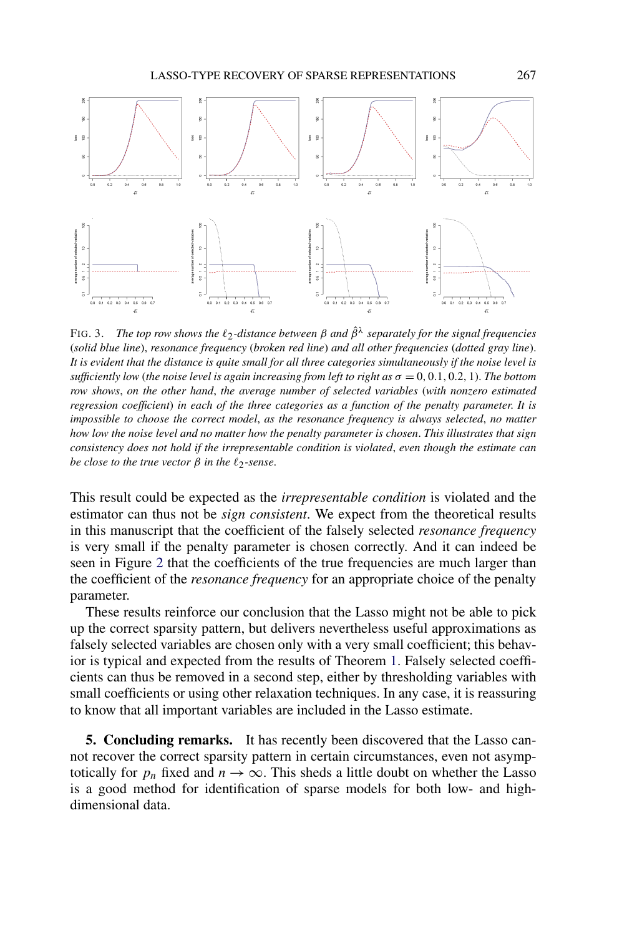<span id="page-21-0"></span>

FIG. 3. *The top row shows the -*<sup>2</sup>*-distance between <sup>β</sup> and <sup>β</sup>*ˆ*<sup>λ</sup> separately for the signal frequencies* (*solid blue line*), *resonance frequency* (*broken red line*) *and all other frequencies* (*dotted gray line*). *It is evident that the distance is quite small for all three categories simultaneously if the noise level is sufficiently low* (*the noise level is again increasing from left to right as σ* = 0*,* 0*.*1*,* 0*.*2*,* 1). *The bottom row shows*, *on the other hand*, *the average number of selected variables* (*with nonzero estimated regression coefficient*) *in each of the three categories as a function of the penalty parameter*. *It is impossible to choose the correct model*, *as the resonance frequency is always selected*, *no matter how low the noise level and no matter how the penalty parameter is chosen*. *This illustrates that sign consistency does not hold if the irrepresentable condition is violated*, *even though the estimate can be close to the true vector β in the -*2*-sense*.

This result could be expected as the *irrepresentable condition* is violated and the estimator can thus not be *sign consistent*. We expect from the theoretical results in this manuscript that the coefficient of the falsely selected *resonance frequency* is very small if the penalty parameter is chosen correctly. And it can indeed be seen in Figure [2](#page-20-0) that the coefficients of the true frequencies are much larger than the coefficient of the *resonance frequency* for an appropriate choice of the penalty parameter.

These results reinforce our conclusion that the Lasso might not be able to pick up the correct sparsity pattern, but delivers nevertheless useful approximations as falsely selected variables are chosen only with a very small coefficient; this behavior is typical and expected from the results of Theorem [1.](#page-8-0) Falsely selected coefficients can thus be removed in a second step, either by thresholding variables with small coefficients or using other relaxation techniques. In any case, it is reassuring to know that all important variables are included in the Lasso estimate.

**5. Concluding remarks.** It has recently been discovered that the Lasso cannot recover the correct sparsity pattern in certain circumstances, even not asymptotically for  $p_n$  fixed and  $n \to \infty$ . This sheds a little doubt on whether the Lasso is a good method for identification of sparse models for both low- and highdimensional data.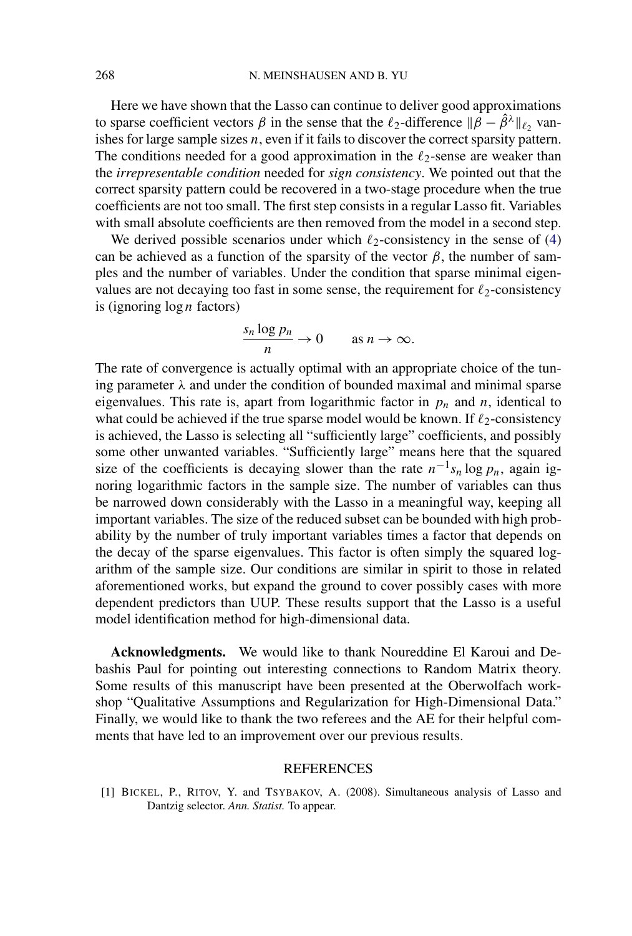<span id="page-22-0"></span>Here we have shown that the Lasso can continue to deliver good approximations to sparse coefficient vectors  $\beta$  in the sense that the  $\ell_2$ -difference  $\|\hat{\beta} - \hat{\beta}^{\lambda}\|_{\ell_2}$  vanishes for large sample sizes *n*, even if it fails to discover the correct sparsity pattern. The conditions needed for a good approximation in the  $\ell_2$ -sense are weaker than the *irrepresentable condition* needed for *sign consistency*. We pointed out that the correct sparsity pattern could be recovered in a two-stage procedure when the true coefficients are not too small. The first step consists in a regular Lasso fit. Variables with small absolute coefficients are then removed from the model in a second step.

We derived possible scenarios under which  $\ell_2$ -consistency in the sense of [\(4\)](#page-3-0) can be achieved as a function of the sparsity of the vector  $\beta$ , the number of samples and the number of variables. Under the condition that sparse minimal eigenvalues are not decaying too fast in some sense, the requirement for  $\ell_2$ -consistency is (ignoring log *n* factors)

$$
\frac{s_n \log p_n}{n} \to 0 \quad \text{as } n \to \infty.
$$

The rate of convergence is actually optimal with an appropriate choice of the tuning parameter  $\lambda$  and under the condition of bounded maximal and minimal sparse eigenvalues. This rate is, apart from logarithmic factor in  $p_n$  and  $n$ , identical to what could be achieved if the true sparse model would be known. If  $\ell_2$ -consistency is achieved, the Lasso is selecting all "sufficiently large" coefficients, and possibly some other unwanted variables. "Sufficiently large" means here that the squared size of the coefficients is decaying slower than the rate  $n^{-1} s_n \log p_n$ , again ignoring logarithmic factors in the sample size. The number of variables can thus be narrowed down considerably with the Lasso in a meaningful way, keeping all important variables. The size of the reduced subset can be bounded with high probability by the number of truly important variables times a factor that depends on the decay of the sparse eigenvalues. This factor is often simply the squared logarithm of the sample size. Our conditions are similar in spirit to those in related aforementioned works, but expand the ground to cover possibly cases with more dependent predictors than UUP. These results support that the Lasso is a useful model identification method for high-dimensional data.

**Acknowledgments.** We would like to thank Noureddine El Karoui and Debashis Paul for pointing out interesting connections to Random Matrix theory. Some results of this manuscript have been presented at the Oberwolfach workshop "Qualitative Assumptions and Regularization for High-Dimensional Data." Finally, we would like to thank the two referees and the AE for their helpful comments that have led to an improvement over our previous results.

## REFERENCES

[1] BICKEL, P., RITOV, Y. and TSYBAKOV, A. (2008). Simultaneous analysis of Lasso and Dantzig selector. *Ann. Statist.* To appear.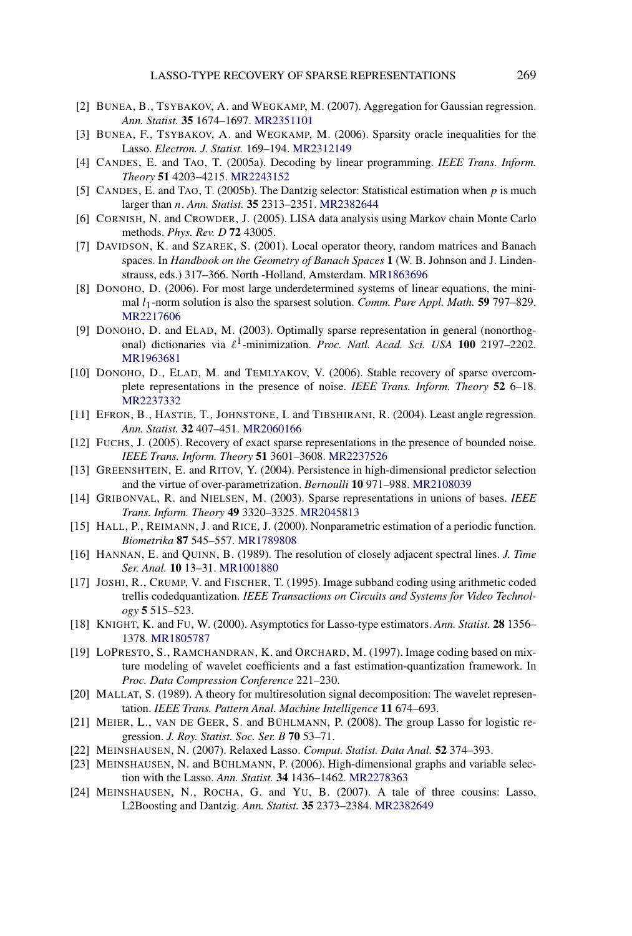- <span id="page-23-0"></span>[2] BUNEA, B., TSYBAKOV, A. and WEGKAMP, M. (2007). Aggregation for Gaussian regression. *Ann. Statist.* **35** 1674–1697. [MR2351101](http://www.ams.org/mathscinet-getitem?mr=2351101)
- [3] BUNEA, F., TSYBAKOV, A. and WEGKAMP, M. (2006). Sparsity oracle inequalities for the Lasso. *Electron. J. Statist.* 169–194. [MR2312149](http://www.ams.org/mathscinet-getitem?mr=2312149)
- [4] CANDES, E. and TAO, T. (2005a). Decoding by linear programming. *IEEE Trans. Inform. Theory* **51** 4203–4215. [MR2243152](http://www.ams.org/mathscinet-getitem?mr=2243152)
- [5] CANDES, E. and TAO, T. (2005b). The Dantzig selector: Statistical estimation when *p* is much larger than *n*. *Ann. Statist.* **35** 2313–2351. [MR2382644](http://www.ams.org/mathscinet-getitem?mr=2382644)
- [6] CORNISH, N. and CROWDER, J. (2005). LISA data analysis using Markov chain Monte Carlo methods. *Phys. Rev. D* **72** 43005.
- [7] DAVIDSON, K. and SZAREK, S. (2001). Local operator theory, random matrices and Banach spaces. In *Handbook on the Geometry of Banach Spaces* **1** (W. B. Johnson and J. Lindenstrauss, eds.) 317–366. North -Holland, Amsterdam. [MR1863696](http://www.ams.org/mathscinet-getitem?mr=1863696)
- [8] DONOHO, D. (2006). For most large underdetermined systems of linear equations, the minimal *l*1-norm solution is also the sparsest solution. *Comm. Pure Appl. Math.* **59** 797–829. [MR2217606](http://www.ams.org/mathscinet-getitem?mr=2217606)
- [9] DONOHO, D. and ELAD, M. (2003). Optimally sparse representation in general (nonorthogonal) dictionaries via  $\ell^1$ -minimization. *Proc. Natl. Acad. Sci. USA* 100 2197–2202. [MR1963681](http://www.ams.org/mathscinet-getitem?mr=1963681)
- [10] DONOHO, D., ELAD, M. and TEMLYAKOV, V. (2006). Stable recovery of sparse overcomplete representations in the presence of noise. *IEEE Trans. Inform. Theory* **52** 6–18. [MR2237332](http://www.ams.org/mathscinet-getitem?mr=2237332)
- [11] EFRON, B., HASTIE, T., JOHNSTONE, I. and TIBSHIRANI, R. (2004). Least angle regression. *Ann. Statist.* **32** 407–451. [MR2060166](http://www.ams.org/mathscinet-getitem?mr=2060166)
- [12] FUCHS, J. (2005). Recovery of exact sparse representations in the presence of bounded noise. *IEEE Trans. Inform. Theory* **51** 3601–3608. [MR2237526](http://www.ams.org/mathscinet-getitem?mr=2237526)
- [13] GREENSHTEIN, E. and RITOV, Y. (2004). Persistence in high-dimensional predictor selection and the virtue of over-parametrization. *Bernoulli* **10** 971–988. [MR2108039](http://www.ams.org/mathscinet-getitem?mr=2108039)
- [14] GRIBONVAL, R. and NIELSEN, M. (2003). Sparse representations in unions of bases. *IEEE Trans. Inform. Theory* **49** 3320–3325. [MR2045813](http://www.ams.org/mathscinet-getitem?mr=2045813)
- [15] HALL, P., REIMANN, J. and RICE, J. (2000). Nonparametric estimation of a periodic function. *Biometrika* **87** 545–557. [MR1789808](http://www.ams.org/mathscinet-getitem?mr=1789808)
- [16] HANNAN, E. and QUINN, B. (1989). The resolution of closely adjacent spectral lines. *J. Time Ser. Anal.* **10** 13–31. [MR1001880](http://www.ams.org/mathscinet-getitem?mr=1001880)
- [17] JOSHI, R., CRUMP, V. and FISCHER, T. (1995). Image subband coding using arithmetic coded trellis codedquantization. *IEEE Transactions on Circuits and Systems for Video Technology* **5** 515–523.
- [18] KNIGHT, K. and FU, W. (2000). Asymptotics for Lasso-type estimators. *Ann. Statist.* **28** 1356– 1378. [MR1805787](http://www.ams.org/mathscinet-getitem?mr=1805787)
- [19] LOPRESTO, S., RAMCHANDRAN, K. and ORCHARD, M. (1997). Image coding based on mixture modeling of wavelet coefficients and a fast estimation-quantization framework. In *Proc. Data Compression Conference* 221–230.
- [20] MALLAT, S. (1989). A theory for multiresolution signal decomposition: The wavelet representation. *IEEE Trans. Pattern Anal. Machine Intelligence* **11** 674–693.
- [21] MEIER, L., VAN DE GEER, S. and BÜHLMANN, P. (2008). The group Lasso for logistic regression. *J. Roy. Statist. Soc. Ser. B* **70** 53–71.
- [22] MEINSHAUSEN, N. (2007). Relaxed Lasso. *Comput. Statist. Data Anal.* **52** 374–393.
- [23] MEINSHAUSEN, N. and BÜHLMANN, P. (2006). High-dimensional graphs and variable selection with the Lasso. *Ann. Statist.* **34** 1436–1462. [MR2278363](http://www.ams.org/mathscinet-getitem?mr=2278363)
- [24] MEINSHAUSEN, N., ROCHA, G. and YU, B. (2007). A tale of three cousins: Lasso, L2Boosting and Dantzig. *Ann. Statist.* **35** 2373–2384. [MR2382649](http://www.ams.org/mathscinet-getitem?mr=2382649)